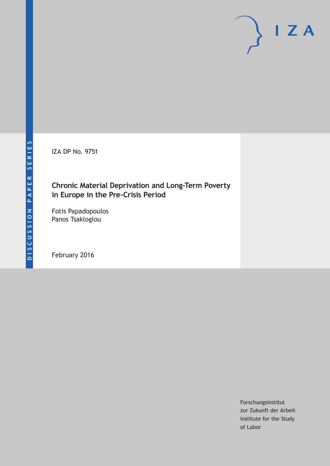IZA DP No. 9751

# **Chronic Material Deprivation and Long‐Term Poverty in Europe in the Pre‐Crisis Period**

Fotis Papadopoulos Panos Tsakloglou

February 2016

Forschungsinstitut zur Zukunft der Arbeit Institute for the Study of Labor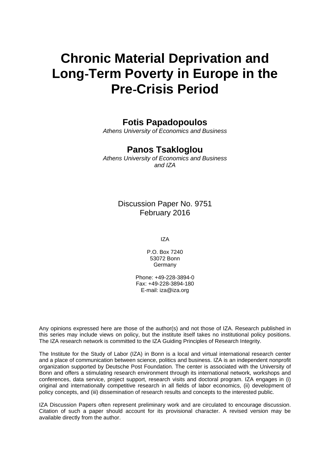# **Chronic Material Deprivation and Long**‐**Term Poverty in Europe in the Pre**‐**Crisis Period**

# **Fotis Papadopoulos**

*Athens University of Economics and Business* 

# **Panos Tsakloglou**

*Athens University of Economics and Business and IZA* 

# Discussion Paper No. 9751 February 2016

IZA

P.O. Box 7240 53072 Bonn Germany

Phone: +49-228-3894-0 Fax: +49-228-3894-180 E-mail: iza@iza.org

Any opinions expressed here are those of the author(s) and not those of IZA. Research published in this series may include views on policy, but the institute itself takes no institutional policy positions. The IZA research network is committed to the IZA Guiding Principles of Research Integrity.

The Institute for the Study of Labor (IZA) in Bonn is a local and virtual international research center and a place of communication between science, politics and business. IZA is an independent nonprofit organization supported by Deutsche Post Foundation. The center is associated with the University of Bonn and offers a stimulating research environment through its international network, workshops and conferences, data service, project support, research visits and doctoral program. IZA engages in (i) original and internationally competitive research in all fields of labor economics, (ii) development of policy concepts, and (iii) dissemination of research results and concepts to the interested public.

IZA Discussion Papers often represent preliminary work and are circulated to encourage discussion. Citation of such a paper should account for its provisional character. A revised version may be available directly from the author.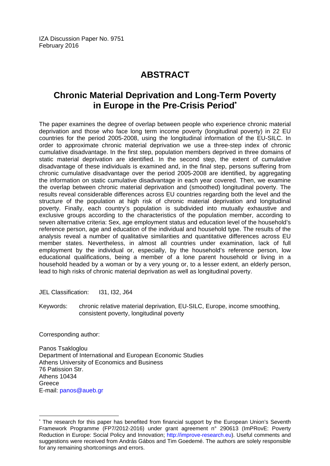# **ABSTRACT**

# **Chronic Material Deprivation and Long**‐**Term Poverty in Europe in the Pre**‐**Crisis Period\***

The paper examines the degree of overlap between people who experience chronic material deprivation and those who face long term income poverty (longitudinal poverty) in 22 EU countries for the period 2005-2008, using the longitudinal information of the EU-SILC. In order to approximate chronic material deprivation we use a three-step index of chronic cumulative disadvantage. In the first step, population members deprived in three domains of static material deprivation are identified. In the second step, the extent of cumulative disadvantage of these individuals is examined and, in the final step, persons suffering from chronic cumulative disadvantage over the period 2005-2008 are identified, by aggregating the information on static cumulative disadvantage in each year covered. Then, we examine the overlap between chronic material deprivation and (smoothed) longitudinal poverty. The results reveal considerable differences across EU countries regarding both the level and the structure of the population at high risk of chronic material deprivation and longitudinal poverty. Finally, each country's population is subdivided into mutually exhaustive and exclusive groups according to the characteristics of the population member, according to seven alternative criteria: Sex, age employment status and education level of the household's reference person, age and education of the individual and household type. The results of the analysis reveal a number of qualitative similarities and quantitative differences across EU member states. Nevertheless, in almost all countries under examination, lack of full employment by the individual or, especially, by the household's reference person, low educational qualifications, being a member of a lone parent household or living in a household headed by a woman or by a very young or, to a lesser extent, an elderly person, lead to high risks of chronic material deprivation as well as longitudinal poverty.

JEL Classification: I31, I32, J64

Keywords: chronic relative material deprivation, EU‐SILC, Europe, income smoothing, consistent poverty, longitudinal poverty

Corresponding author:

 $\overline{\phantom{a}}$ 

Panos Tsakloglou Department of International and European Economic Studies Athens University of Economics and Business 76 Patission Str. Athens 10434 Greece E-mail: panos@aueb.gr

<sup>\*</sup> The research for this paper has benefited from financial support by the European Union's Seventh Framework Programme (FP7/2012‐2016) under grant agreement n° 290613 (ImPRovE: Poverty Reduction in Europe: Social Policy and Innovation; http://improve-research.eu). Useful comments and suggestions were received from András Gábos and Tim Goedemé. The authors are solely responsible for any remaining shortcomings and errors.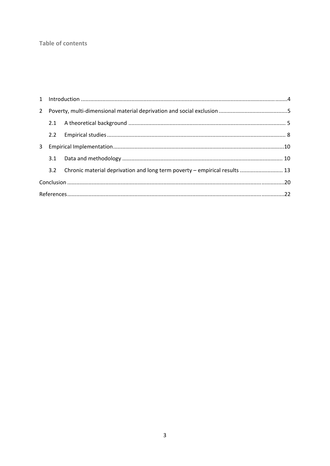### **Table of contents**

|  |  | 3.2 Chronic material deprivation and long term poverty - empirical results  13 |  |  |  |  |  |  |
|--|--|--------------------------------------------------------------------------------|--|--|--|--|--|--|
|  |  |                                                                                |  |  |  |  |  |  |
|  |  |                                                                                |  |  |  |  |  |  |
|  |  |                                                                                |  |  |  |  |  |  |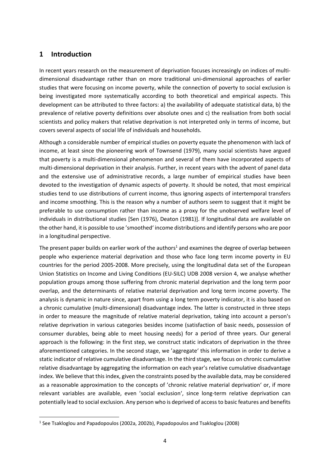## **1 Introduction**

In recent years research on the measurement of deprivation focuses increasingly on indices of multidimensional disadvantage rather than on more traditional uni‐dimensional approaches of earlier studies that were focusing on income poverty, while the connection of poverty to social exclusion is being investigated more systematically according to both theoretical and empirical aspects. This development can be attributed to three factors: a) the availability of adequate statistical data, b) the prevalence of relative poverty definitions over absolute ones and c) the realisation from both social scientists and policy makers that relative deprivation is not interpreted only in terms of income, but covers several aspects of social life of individuals and households.

Although a considerable number of empirical studies on poverty equate the phenomenon with lack of income, at least since the pioneering work of Townsend (1979), many social scientists have argued that poverty is a multi‐dimensional phenomenon and several of them have incorporated aspects of multi-dimensional deprivation in their analysis. Further, in recent years with the advent of panel data and the extensive use of administrative records, a large number of empirical studies have been devoted to the investigation of dynamic aspects of poverty. It should be noted, that most empirical studies tend to use distributions of current income, thus ignoring aspects of intertemporal transfers and income smoothing. This is the reason why a number of authors seem to suggest that it might be preferable to use consumption rather than income as a proxy for the unobserved welfare level of individuals in distributional studies [Sen (1976), Deaton (1981)]. If longitudinal data are available on the other hand, it is possible to use 'smoothed' income distributions and identify persons who are poor in a longitudinal perspective.

The present paper builds on earlier work of the authors<sup>1</sup> and examines the degree of overlap between people who experience material deprivation and those who face long term income poverty in EU countries for the period 2005‐2008. More precisely, using the longitudinal data set of the European Union Statistics on Income and Living Conditions (EU‐SILC) UDB 2008 version 4, we analyse whether population groups among those suffering from chronic material deprivation and the long term poor overlap, and the determinants of relative material deprivation and long term income poverty. The analysis is dynamic in nature since, apart from using a long term poverty indicator, it is also based on a chronic cumulative (multi-dimensional) disadvantage index. The latter is constructed in three steps in order to measure the magnitude of relative material deprivation, taking into account a person's relative deprivation in various categories besides income (satisfaction of basic needs, possession of consumer durables, being able to meet housing needs) for a period of three years. Our general approach is the following: in the first step, we construct static indicators of deprivation in the three aforementioned categories. In the second stage, we 'aggregate' this information in order to derive a static indicator of relative cumulative disadvantage. In the third stage, we focus on chronic cumulative relative disadvantage by aggregating the information on each year's relative cumulative disadvantage index. We believe that this index, given the constraints posed by the available data, may be considered as a reasonable approximation to the concepts of 'chronic relative material deprivation' or, if more relevant variables are available, even 'social exclusion', since long-term relative deprivation can potentially lead to social exclusion. Any person who is deprived of accessto basic features and benefits

<sup>1</sup> See Tsakloglou and Papadopoulos (2002a, 2002b), Papadopoulos and Tsakloglou (2008)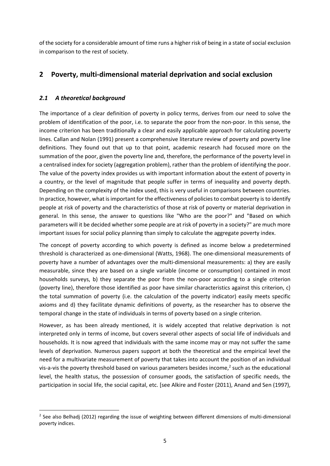of the society for a considerable amount of time runs a higher risk of being in a state of social exclusion in comparison to the rest of society.

# **2 Poverty, multi‐dimensional material deprivation and social exclusion**

#### *2.1 A theoretical background*

The importance of a clear definition of poverty in policy terms, derives from our need to solve the problem of identification of the poor, i.e. to separate the poor from the non‐poor. In this sense, the income criterion has been traditionally a clear and easily applicable approach for calculating poverty lines. Callan and Nolan (1991) present a comprehensive literature review of poverty and poverty line definitions. They found out that up to that point, academic research had focused more on the summation of the poor, given the poverty line and, therefore, the performance of the poverty level in a centralised index for society (aggregation problem), rather than the problem of identifying the poor. The value of the poverty index provides us with important information about the extent of poverty in a country, or the level of magnitude that people suffer in terms of inequality and poverty depth. Depending on the complexity of the index used, this is very useful in comparisons between countries. In practice, however, what is important for the effectiveness of policies to combat poverty is to identify people at risk of poverty and the characteristics of those at risk of poverty or material deprivation in general. In this sense, the answer to questions like "Who are the poor?" and "Based on which parameters will it be decided whether some people are at risk of poverty in a society?" are much more important issues for social policy planning than simply to calculate the aggregate poverty index.

The concept of poverty according to which poverty is defined as income below a predetermined threshold is characterized as one‐dimensional (Watts, 1968). The one‐dimensional measurements of poverty have a number of advantages over the multi‐dimensional measurements: a) they are easily measurable, since they are based on a single variable (income or consumption) contained in most households surveys, b) they separate the poor from the non-poor according to a single criterion (poverty line), therefore those identified as poor have similar characteristics against this criterion, c) the total summation of poverty (i.e. the calculation of the poverty indicator) easily meets specific axioms and d) they facilitate dynamic definitions of poverty, as the researcher has to observe the temporal change in the state of individuals in terms of poverty based on a single criterion.

However, as has been already mentioned, it is widely accepted that relative deprivation is not interpreted only in terms of income, but covers several other aspects of social life of individuals and households. It is now agreed that individuals with the same income may or may not suffer the same levels of deprivation. Numerous papers support at both the theoretical and the empirical level the need for a multivariate measurement of poverty that takes into account the position of an individual vis-a-vis the poverty threshold based on various parameters besides income, $<sup>2</sup>$  such as the educational</sup> level, the health status, the possession of consumer goods, the satisfaction of specific needs, the participation in social life, the social capital, etc. [see Alkire and Foster (2011), Anand and Sen (1997),

<sup>&</sup>lt;sup>2</sup> See also Belhadj (2012) regarding the issue of weighting between different dimensions of multi-dimensional poverty indices.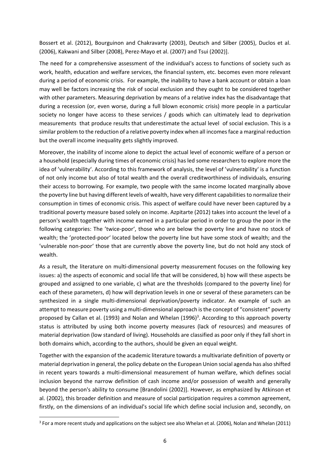Bossert et al. (2012), Bourguinon and Chakravarty (2003), Deutsch and Silber (2005), Duclos et al. (2006), Kakwani and Silber (2008), Perez‐Mayo et al. (2007) and Tsui (2002)].

The need for a comprehensive assessment of the individual's access to functions of society such as work, health, education and welfare services, the financial system, etc. becomes even more relevant during a period of economic crisis. For example, the inability to have a bank account or obtain a loan may well be factors increasing the risk of social exclusion and they ought to be considered together with other parameters. Measuring deprivation by means of a relative index has the disadvantage that during a recession (or, even worse, during a full blown economic crisis) more people in a particular society no longer have access to these services / goods which can ultimately lead to deprivation measurements that produce results that underestimate the actual level of social exclusion. This is a similar problem to the reduction of a relative poverty index when all incomesface a marginal reduction but the overall income inequality gets slightly improved.

Moreover, the inability of income alone to depict the actual level of economic welfare of a person or a household (especially during times of economic crisis) has led some researchers to explore more the idea of 'vulnerability'. According to this framework of analysis, the level of 'vulnerability' is a function of not only income but also of total wealth and the overall creditworthiness of individuals, ensuring their access to borrowing. For example, two people with the same income located marginally above the poverty line but having different levels of wealth, have very different capabilitiesto normalize their consumption in times of economic crisis. This aspect of welfare could have never been captured by a traditional poverty measure based solely on income. Azpitarte (2012) takes into account the level of a person's wealth together with income earned in a particular period in order to group the poor in the following categories: The 'twice-poor', those who are below the poverty line and have no stock of wealth; the 'protected‐poor' located below the poverty line but have some stock of wealth; and the 'vulnerable non‐poor' those that are currently above the poverty line, but do not hold any stock of wealth.

As a result, the literature on multi‐dimensional poverty measurement focuses on the following key issues: a) the aspects of economic and social life that will be considered, b) how will these aspects be grouped and assigned to one variable, c) what are the thresholds (compared to the poverty line) for each of these parameters, d) how will deprivation levels in one or several of these parameters can be synthesized in a single multi-dimensional deprivation/poverty indicator. An example of such an attempt to measure poverty using a multi‐dimensional approach isthe concept of "consistent" poverty proposed by Callan et al. (1993) and Nolan and Whelan (1996)<sup>3</sup>. According to this approach poverty status is attributed by using both income poverty measures (lack of resources) and measures of material deprivation (low standard of living). Households are classified as poor only if they fall short in both domains which, according to the authors, should be given an equal weight.

Together with the expansion of the academic literature towards a multivariate definition of poverty or material deprivation in general, the policy debate on the European Union social agenda has also shifted in recent years towards a multi‐dimensional measurement of human welfare, which defines social inclusion beyond the narrow definition of cash income and/or possession of wealth and generally beyond the person's ability to consume [Brandolini (2002)]. However, as emphasized by Atkinson et al. (2002), this broader definition and measure of social participation requires a common agreement, firstly, on the dimensions of an individual's social life which define social inclusion and, secondly, on

<sup>&</sup>lt;sup>3</sup> For a more recent study and applications on the subject see also Whelan et al. (2006), Nolan and Whelan (2011)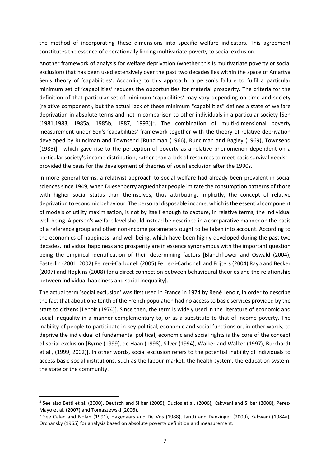the method of incorporating these dimensions into specific welfare indicators. This agreement constitutes the essence of operationally linking multivariate poverty to social exclusion.

Another framework of analysis for welfare deprivation (whether this is multivariate poverty or social exclusion) that has been used extensively over the past two decades lies within the space of Amartya Sen's theory of 'capabilities'. According to this approach, a person's failure to fulfil a particular minimum set of 'capabilities' reduces the opportunities for material prosperity. The criteria for the definition of that particular set of minimum 'capabilities' may vary depending on time and society (relative component), but the actual lack of these minimum "capabilities" defines a state of welfare deprivation in absolute terms and not in comparison to other individuals in a particular society [Sen  $(1981, 1983, 1985a, 1985b, 1987, 1993)]<sup>4</sup>$ . The combination of multi-dimensional poverty measurement under Sen's 'capabilities' framework together with the theory of relative deprivation developed by Runciman and Townsend [Runciman (1966), Runciman and Bagley (1969), Townsend (1985)] - which gave rise to the perception of poverty as a relative phenomenon dependent on a particular society's income distribution, rather than a lack of resources to meet basic survival needs<sup>5</sup> provided the basis for the development of theories of social exclusion after the 1990s.

In more general terms, a relativist approach to social welfare had already been prevalent in social sciences since 1949, when Duesenberry argued that people imitate the consumption patterns of those with higher social status than themselves, thus attributing, implicitly, the concept of relative deprivation to economic behaviour. The personal disposable income, which is the essential component of models of utility maximisation, is not by itself enough to capture, in relative terms, the individual well-being. A person's welfare level should instead be described in a comparative manner on the basis of a reference group and other non‐income parameters ought to be taken into account. According to the economics of happiness and well‐being, which have been highly developed during the past two decades, individual happiness and prosperity are in essence synonymous with the important question being the empirical identification of their determining factors [Blanchflower and Oswald (2004), Easterlin (2001, 2002) Ferrer‐i‐Carbonell (2005) Ferrer‐i‐Carbonell and Frijters (2004) Rayo and Becker (2007) and Hopkins (2008) for a direct connection between behavioural theories and the relationship between individual happiness and social inequality].

The actual term 'social exclusion' was first used in France in 1974 by René Lenoir, in order to describe the fact that about one tenth of the French population had no access to basic services provided by the state to citizens [Lenoir (1974)]. Since then, the term is widely used in the literature of economic and social inequality in a manner complementary to, or as a substitute to that of income poverty. The inability of people to participate in key political, economic and social functions or, in other words, to deprive the individual of fundamental political, economic and social rights is the core of the concept of social exclusion [Byrne (1999), de Haan (1998), Silver (1994), Walker and Walker (1997), Burchardt et al., (1999, 2002)]. In other words, social exclusion refers to the potential inability of individuals to access basic social institutions, such as the labour market, the health system, the education system, the state or the community.

<sup>4</sup> See also Betti et al. (2000), Deutsch and Silber (2005), Duclos et al. (2006), Kakwani and Silber (2008), Perez‐ Mayo et al. (2007) and Tomaszewski (2006).

<sup>&</sup>lt;sup>5</sup> See Calan and Nolan (1991), Hagenaars and De Vos (1988), Jantti and Danzinger (2000), Kakwani (1984a), Orchansky (1965) for analysis based on absolute poverty definition and measurement.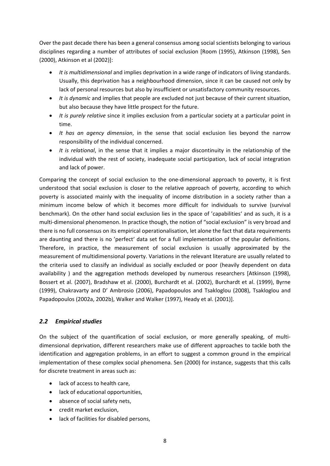Over the past decade there has been a general consensus among social scientists belonging to various disciplines regarding a number of attributes of social exclusion [Room (1995), Atkinson (1998), Sen (2000), Atkinson et al (2002)]:

- *It is multidimensional* and implies deprivation in a wide range of indicators of living standards. Usually, this deprivation has a neighbourhood dimension, since it can be caused not only by lack of personal resources but also by insufficient or unsatisfactory community resources.
- *It is dynamic* and implies that people are excluded not just because of their current situation, but also because they have little prospect for the future.
- *It is purely relative* since it implies exclusion from a particular society at a particular point in time.
- *It has an agency dimension*, in the sense that social exclusion lies beyond the narrow responsibility of the individual concerned.
- *It is relational*, in the sense that it implies a major discontinuity in the relationship of the individual with the rest of society, inadequate social participation, lack of social integration and lack of power.

Comparing the concept of social exclusion to the one‐dimensional approach to poverty, it is first understood that social exclusion is closer to the relative approach of poverty, according to which poverty is associated mainly with the inequality of income distribution in a society rather than a minimum income below of which it becomes more difficult for individuals to survive (survival benchmark). On the other hand social exclusion lies in the space of 'capabilities' and as such, it is a multi-dimensional phenomenon. In practice though, the notion of "social exclusion" is very broad and there is no full consensus on its empirical operationalisation, let alone the fact that data requirements are daunting and there is no 'perfect' data set for a full implementation of the popular definitions. Therefore, in practice, the measurement of social exclusion is usually approximated by the measurement of multidimensional poverty. Variations in the relevant literature are usually related to the criteria used to classify an individual as socially excluded or poor (heavily dependent on data availability ) and the aggregation methods developed by numerous researchers [Atkinson (1998), Bossert et al. (2007), Bradshaw et al. (2000), Burchardt et al. (2002), Burchardt et al. (1999), Byrne (1999), Chakravarty and D' Ambrosio (2006), Papadopoulos and Tsakloglou (2008), Tsakloglou and Papadopoulos (2002a, 2002b), Walker and Walker (1997), Heady et al. (2001)].

### *2.2 Empirical studies*

On the subject of the quantification of social exclusion, or more generally speaking, of multi‐ dimensional deprivation, different researchers make use of different approaches to tackle both the identification and aggregation problems, in an effort to suggest a common ground in the empirical implementation of these complex social phenomena. Sen (2000) for instance, suggests that this calls for discrete treatment in areas such as:

- lack of access to health care,
- lack of educational opportunities,
- absence of social safety nets,
- credit market exclusion,
- lack of facilities for disabled persons,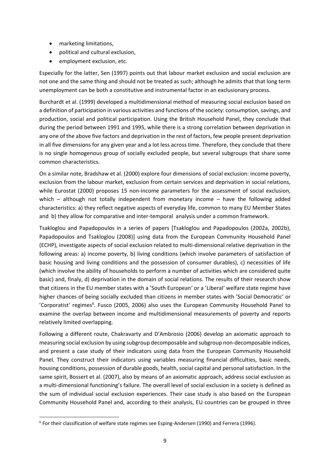- marketing limitations,
- political and cultural exclusion,
- employment exclusion, etc.

Especially for the latter, Sen (1997) points out that labour market exclusion and social exclusion are not one and the same thing and should not be treated as such; although he admits that that long term unemployment can be both a constitutive and instrumental factor in an exclusionary process.

Burchardt et al. (1999) developed a multidimensional method of measuring social exclusion based on a definition of participation in various activities and functions of the society: consumption, savings, and production, social and political participation. Using the British Household Panel, they conclude that during the period between 1991 and 1995, while there is a strong correlation between deprivation in any one of the above five factors and deprivation in the rest of factors, few people present deprivation in all five dimensions for any given year and a lot less across time. Therefore, they conclude that there is no single homogenous group of socially excluded people, but several subgroups that share some common characteristics.

On a similar note, Bradshaw et al. (2000) explore four dimensions of social exclusion: income poverty, exclusion from the labour market, exclusion from certain services and deprivation in social relations, while Eurostat (2000) proposes 15 non-income parameters for the assessment of social exclusion, which – although not totally independent from monetary income – have the following added characteristics: a) they reflect negative aspects of everyday life, common to many EU Member States and b) they allow for comparative and inter-temporal analysis under a common framework.

Tsakloglou and Papadopoulos in a series of papers [Tsakloglou and Papadopoulos (2002a, 2002b), Papadopoulos and Tsakloglou (2008)] using data from the European Community Household Panel (ECHP), investigate aspects of social exclusion related to multi‐dimensional relative deprivation in the following areas: a) income poverty, b) living conditions (which involve parameters of satisfaction of basic housing and living conditions and the possession of consumer durables), c) necessities of life (which involve the ability of households to perform a number of activities which are considered quite basic) and, finaly, d) deprivation in the domain of social relations. The results of their research show that citizens in the EU member states with a 'South European' or a 'Liberal' welfare state regime have higher chances of being socially excluded than citizens in member states with 'Social Democratic' or 'Corporatist' regimes<sup>6</sup>. Fusco (2005, 2006) also uses the European Community Household Panel to examine the overlap between income and multidimensional measurements of poverty and reports relatively limited overlapping.

Following a different route, Chakravarty and D'Ambrosio (2006) develop an axiomatic approach to measuring social exclusion by using subgroup decomposable and subgroup non‐decomposable indices, and present a case study of their indicators using data from the European Community Household Panel. They construct their indicators using variables measuring financial difficulties, basic needs, housing conditions, possession of durable goods, health, social capital and personal satisfaction. In the same spirit, Bossert et al. (2007), also by means of an axiomatic approach, address social exclusion as a multi-dimensional functioning's failure. The overall level of social exclusion in a society is defined as the sum of individual social exclusion experiences. Their case study is also based on the European Community Household Panel and, according to their analysis, EU countries can be grouped in three

<sup>6</sup> For their classification of welfare state regimes see Esping‐Andersen (1990) and Ferrera (1996).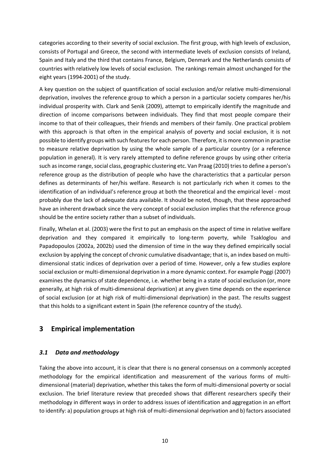categories according to their severity of social exclusion. The first group, with high levels of exclusion, consists of Portugal and Greece, the second with intermediate levels of exclusion consists of Ireland, Spain and Italy and the third that contains France, Belgium, Denmark and the Netherlands consists of countries with relatively low levels of social exclusion. The rankings remain almost unchanged for the eight years (1994‐2001) of the study.

A key question on the subject of quantification of social exclusion and/or relative multi‐dimensional deprivation, involves the reference group to which a person in a particular society compares her/his individual prosperity with. Clark and Senik (2009), attempt to empirically identify the magnitude and direction of income comparisons between individuals. They find that most people compare their income to that of their colleagues, their friends and members of their family. One practical problem with this approach is that often in the empirical analysis of poverty and social exclusion, it is not possible to identify groups with such features for each person. Therefore, it is more common in practise to measure relative deprivation by using the whole sample of a particular country (or a reference population in general). It is very rarely attempted to define reference groups by using other criteria such as income range, social class, geographic clustering etc. Van Praag (2010) tries to define a person's reference group as the distribution of people who have the characteristics that a particular person defines as determinants of her/his welfare. Research is not particularly rich when it comes to the identification of an individual's reference group at both the theoretical and the empirical level ‐ most probably due the lack of adequate data available. It should be noted, though, that these approached have an inherent drawback since the very concept of social exclusion implies that the reference group should be the entire society rather than a subset of individuals.

Finally, Whelan et al. (2003) were the first to put an emphasis on the aspect of time in relative welfare deprivation and they compared it empirically to long-term poverty, while Tsakloglou and Papadopoulos (2002a, 2002b) used the dimension of time in the way they defined empirically social exclusion by applying the concept of chronic cumulative disadvantage; that is, an index based on multidimensional static indices of deprivation over a period of time. However, only a few studies explore social exclusion or multi‐dimensional deprivation in a more dynamic context. For example Poggi (2007) examines the dynamics of state dependence, i.e. whether being in a state of social exclusion (or, more generally, at high risk of multi-dimensional deprivation) at any given time depends on the experience of social exclusion (or at high risk of multi‐dimensional deprivation) in the past. The results suggest that this holds to a significant extent in Spain (the reference country of the study).

# **3 Empirical implementation**

### *3.1 Data and methodology*

Taking the above into account, it is clear that there is no general consensus on a commonly accepted methodology for the empirical identification and measurement of the various forms of multidimensional (material) deprivation, whether this takes the form of multi‐dimensional poverty or social exclusion. The brief literature review that preceded shows that different researchers specify their methodology in different ways in order to address issues of identification and aggregation in an effort to identify: a) population groups at high risk of multi‐dimensional deprivation and b) factors associated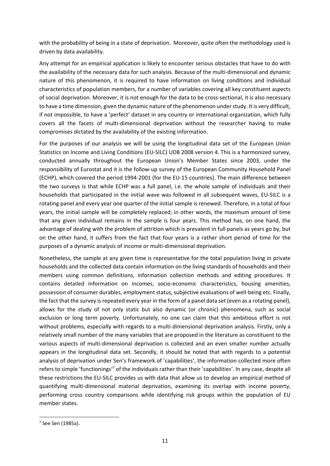with the probability of being in a state of deprivation. Moreover, quite often the methodology used is driven by data availability.

Any attempt for an empirical application is likely to encounter serious obstacles that have to do with the availability of the necessary data for such analysis. Because of the multi‐dimensional and dynamic nature of this phenomenon, it is required to have information on living conditions and individual characteristics of population members, for a number of variables covering all key constituent aspects of social deprivation. Moreover, it is not enough for the data to be cross‐sectional, it is also necessary to have a time dimension, given the dynamic nature of the phenomenon under study. It is very difficult, if not impossible, to have a 'perfect' dataset in any country or international organization, which fully covers all the facets of multi-dimensional deprivation without the researcher having to make compromises dictated by the availability of the existing information.

For the purposes of our analysis we will be using the longitudinal data set of the European Union Statistics on Income and Living Conditions (EU‐SILC) UDB 2008 version 4. This is a harmonized survey, conducted annually throughout the European Union's Member States since 2003, under the responsibility of Eurostat and it is the follow‐up survey of the European Community Household Panel (ECHP), which covered the period 1994‐2001 (for the EU‐15 countries). The main difference between the two surveys is that while ECHP was a full panel, i.e. the whole sample of individuals and their households that participated in the initial wave was followed in all subsequent waves, EU‐SILC is a rotating panel and every year one quarter of the initial sample is renewed. Therefore, in a total of four years, the initial sample will be completely replaced; in other words, the maximum amount of time that any given individual remains in the sample is four years. This method has, on one hand, the advantage of dealing with the problem of attrition which is prevalent in full panels as years go by, but on the other hand, it suffers from the fact that four years is a rather short period of time for the purposes of a dynamic analysis of income or multi‐dimensional deprivation.

Nonetheless, the sample at any given time is representative for the total population living in private households and the collected data contain information on the living standards of households and their members using common definitions, information collection methods and editing procedures. It contains detailed information on incomes, socio-economic characteristics, housing amenities, possession of consumer durables, employment status, subjective evaluations of well-being etc. Finally, the fact that the survey isrepeated every year in the form of a panel data set (even as a rotating panel), allows for the study of not only static but also dynamic (or chronic) phenomena, such as social exclusion or long term poverty. Unfortunately, no one can claim that this ambitious effort is not without problems, especially with regards to a multi-dimensional deprivation analysis. Firstly, only a relatively small number of the many variables that are proposed in the literature as constituent to the various aspects of multi‐dimensional deprivation is collected and an even smaller number actually appears in the longitudinal data set. Secondly, it should be noted that with regards to a potential analysis of deprivation under Sen's framework of 'capabilities', the information collected more often refers to simple 'functionings'7 of the individuals rather than their 'capabilities'. In any case, despite all these restrictions the EU‐SILC provides us with data that allow us to develop an empirical method of quantifying multi‐dimensional material deprivation, examining its overlap with income poverty, performing cross country comparisons while identifying risk groups within the population of EU member states.

<sup>7</sup> See Sen (1985a).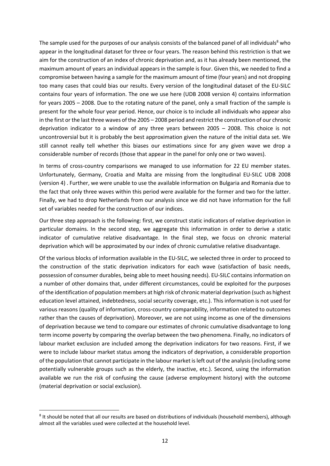The sample used for the purposes of our analysis consists of the balanced panel of all individuals<sup>8</sup> who appear in the longitudinal dataset for three or four years. The reason behind this restriction is that we aim for the construction of an index of chronic deprivation and, as it has already been mentioned, the maximum amount of years an individual appears in the sample is four. Given this, we needed to find a compromise between having a sample for the maximum amount of time (four years) and not dropping too many cases that could bias our results. Every version of the longitudinal dataset of the EU‐SILC contains four years of information. The one we use here (UDB 2008 version 4) contains information for years 2005 – 2008. Due to the rotating nature of the panel, only a small fraction of the sample is present for the whole four year period. Hence, our choice is to include all individuals who appear also in the first or the last three waves of the 2005 – 2008 period and restrict the construction of our chronic deprivation indicator to a window of any three years between 2005 – 2008. This choice is not uncontroversial but it is probably the best approximation given the nature of the initial data set. We still cannot really tell whether this biases our estimations since for any given wave we drop a considerable number of records (those that appear in the panel for only one or two waves).

In terms of cross-country comparisons we managed to use information for 22 EU member states. Unfortunately, Germany, Croatia and Malta are missing from the longitudinal EU‐SILC UDB 2008 (version 4) . Further, we were unable to use the available information on Bulgaria and Romania due to the fact that only three waves within this period were available for the former and two for the latter. Finally, we had to drop Netherlands from our analysis since we did not have information for the full set of variables needed for the construction of our indices.

Our three step approach is the following: first, we construct static indicators of relative deprivation in particular domains. In the second step, we aggregate this information in order to derive a static indicator of cumulative relative disadvantage. In the final step, we focus on chronic material deprivation which will be approximated by our index of chronic cumulative relative disadvantage.

Of the various blocks of information available in the EU‐SILC, we selected three in order to proceed to the construction of the static deprivation indicators for each wave (satisfaction of basic needs, possession of consumer durables, being able to meet housing needs). EU‐SILC contains information on a number of other domains that, under different circumstances, could be exploited for the purposes of the identification of population members at high risk of chronic material deprivation (such as highest education level attained, indebtedness, social security coverage, etc.). This information is not used for various reasons (quality of information, cross‐country comparability, information related to outcomes rather than the causes of deprivation). Moreover, we are not using income as one of the dimensions of deprivation because we tend to compare our estimates of chronic cumulative disadvantage to long term income poverty by comparing the overlap between the two phenomena. Finally, no indicators of labour market exclusion are included among the deprivation indicators for two reasons. First, if we were to include labour market status among the indicators of deprivation, a considerable proportion of the population that cannot participate in the labour market is left out of the analysis (including some potentially vulnerable groups such as the elderly, the inactive, etc.). Second, using the information available we run the risk of confusing the cause (adverse employment history) with the outcome (material deprivation or social exclusion).

<sup>8</sup> It should be noted that all our results are based on distributions of individuals (household members), although almost all the variables used were collected at the household level.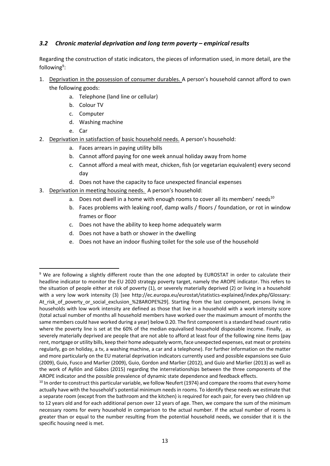#### *3.2 Chronic material deprivation and long term poverty – empirical results*

Regarding the construction of static indicators, the pieces of information used, in more detail, are the following<sup>9</sup>:

- 1. Deprivation in the possession of consumer durables. A person's household cannot afford to own the following goods:
	- a. Telephone (land line or cellular)
	- b. Colour TV
	- c. Computer
	- d. Washing machine
	- e. Car

- 2. Deprivation in satisfaction of basic household needs. A person's household:
	- a. Faces arrears in paying utility bills
	- b. Cannot afford paying for one week annual holiday away from home
	- c. Cannot afford a meal with meat, chicken, fish (or vegetarian equivalent) every second day
	- d. Does not have the capacity to face unexpected financial expenses
- 3. Deprivation in meeting housing needs. A person's household:
	- a. Does not dwell in a home with enough rooms to cover all its members' needs<sup>10</sup>
	- b. Faces problems with leaking roof, damp walls / floors / foundation, or rot in window frames or floor
	- c. Does not have the ability to keep home adequately warm
	- d. Does not have a bath or shower in the dwelling
	- e. Does not have an indoor flushing toilet for the sole use of the household

<sup>&</sup>lt;sup>9</sup> We are following a slightly different route than the one adopted by EUROSTAT in order to calculate their headline indicator to monitor the EU 2020 strategy poverty target, namely the AROPE indicator. This refers to the situation of people either at risk of poverty (1), or severely materially deprived (2) or living in a household with a very low work intensity (3) [see http://ec.europa.eu/eurostat/statistics-explained/index.php/Glossary: At\_risk\_of\_poverty\_or\_social\_exclusion\_%28AROPE%29]. Starting from the last component, persons living in households with low work intensity are defined as those that live in a household with a work intensity score (total actual number of months all household members have worked over the maximum amount of months the same members could have worked during a year) below 0.20. The first component is a standard head count ratio where the poverty line is set at the 60% of the median equivalised household disposable income. Finally, as severely materially deprived are people that are not able to afford at least four of the following nine items (pay rent, mortgage or utility bills, keep their home adequately worm, face unexpected expenses, eat meat or proteins regularly, go on holiday, a tv, a washing machine, a car and a telephone). For further information on the matter and more particularly on the EU material deprivation indicators currently used and possible expansions see Guio (2009), Guio, Fusco and Marlier (2009), Guio, Gordon and Marlier (2012), and Guio and Marlier (2013) as well as the work of Ayllón and Gábos (2015) regarding the interrelationships between the three components of the AROPE indicator and the possible prevalence of dynamic state dependence and feedback effects.

<sup>&</sup>lt;sup>10</sup> In order to construct this particular variable, we follow Neufert (1974) and compare the rooms that every home actually have with the household's potential minimum needs in rooms. To identify these needs we estimate that a separate room (except from the bathroom and the kitchen) is required for each pair, for every two children up to 12 years old and for each additional person over 12 years of age. Then, we compare the sum of the minimum necessary rooms for every household in comparison to the actual number. If the actual number of rooms is greater than or equal to the number resulting from the potential household needs, we consider that it is the specific housing need is met.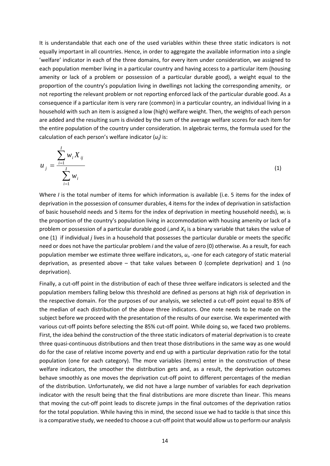It is understandable that each one of the used variables within these three static indicators is not equally important in all countries. Hence, in order to aggregate the available information into a single 'welfare' indicator in each of the three domains, for every item under consideration, we assigned to each population member living in a particular country and having access to a particular item (housing amenity or lack of a problem or possession of a particular durable good), a weight equal to the proportion of the country's population living in dwellings not lacking the corresponding amenity, or not reporting the relevant problem or not reporting enforced lack of the particular durable good. As a consequence if a particular item is very rare (common) in a particular country, an individual living in a household with such an item is assigned a low (high) welfare weight. Then, the weights of each person are added and the resulting sum is divided by the sum of the average welfare scores for each item for the entire population of the country under consideration. In algebraic terms, the formula used for the calculation of each person's welfare indicator (*uj)* is:

$$
u_{j} = \frac{\sum_{i=1}^{I} w_{i} X_{ij}}{\sum_{i=1}^{I} w_{i}}
$$
 (1)

Where *I* is the total number of items for which information is available (i.e. 5 items for the index of deprivation in the possession of consumer durables, 4 items for the index of deprivation in satisfaction of basic household needs and 5 items for the index of deprivation in meeting household needs), *wi* is the proportion of the country's population living in accommodation with housing amenity or lack of a problem or possession of a particular durable good *i,*and *Xij* is a binary variable that takes the value of one (1) if individual *j* lives in a household that possesses the particular durable or meets the specific need or does not have the particular problem *i* and the value of zero (0) otherwise. As a result, for each population member we estimate three welfare indicators, *ui*, ‐one for each category of static material deprivation, as presented above – that take values between 0 (complete deprivation) and 1 (no deprivation).

Finally, a cut‐off point in the distribution of each of these three welfare indicators is selected and the population members falling below this threshold are defined as persons at high risk of deprivation in the respective domain. For the purposes of our analysis, we selected a cut‐off point equal to 85% of the median of each distribution of the above three indicators. One note needs to be made on the subject before we proceed with the presentation of the results of our exercise. We experimented with various cut-off points before selecting the 85% cut-off point. While doing so, we faced two problems. First, the idea behind the construction of the three static indicators of material deprivation is to create three quasi‐continuous distributions and then treat those distributions in the same way as one would do for the case of relative income poverty and end up with a particular deprivation ratio for the total population (one for each category). The more variables (items) enter in the construction of these welfare indicators, the smoother the distribution gets and, as a result, the deprivation outcomes behave smoothly as one moves the deprivation cut-off point to different percentages of the median of the distribution. Unfortunately, we did not have a large number of variables for each deprivation indicator with the result being that the final distributions are more discrete than linear. This means that moving the cut‐off point leads to discrete jumps in the final outcomes of the deprivation ratios for the total population. While having this in mind, the second issue we had to tackle is that since this is a comparative study, we needed to choose a cut-off point that would allow us to perform our analysis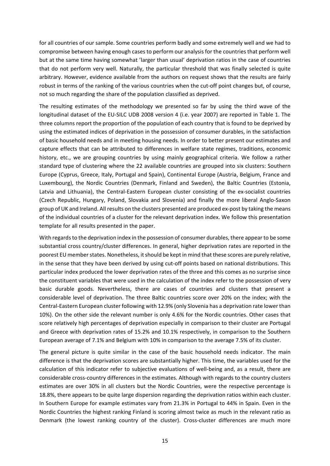for all countries of our sample. Some countries perform badly and some extremely well and we had to compromise between having enough cases to perform our analysis for the countries that perform well but at the same time having somewhat 'larger than usual' deprivation ratios in the case of countries that do not perform very well. Naturally, the particular threshold that was finally selected is quite arbitrary. However, evidence available from the authors on request shows that the results are fairly robust in terms of the ranking of the various countries when the cut‐off point changes but, of course, not so much regarding the share of the population classified as deprived.

The resulting estimates of the methodology we presented so far by using the third wave of the longitudinal dataset of the EU‐SILC UDB 2008 version 4 (i.e. year 2007) are reported in Table 1. The three columns report the proportion of the population of each country that is found to be deprived by using the estimated indices of deprivation in the possession of consumer durables, in the satisfaction of basic household needs and in meeting housing needs. In order to better present our estimates and capture effects that can be attributed to differences in welfare state regimes, traditions, economic history, etc., we are grouping countries by using mainly geographical criteria. We follow a rather standard type of clustering where the 22 available countries are grouped into six clusters: Southern Europe (Cyprus, Greece, Italy, Portugal and Spain), Continental Europe (Austria, Belgium, France and Luxembourg), the Nordic Countries (Denmark, Finland and Sweden), the Baltic Countries (Estonia, Latvia and Lithuania), the Central-Eastern European cluster consisting of the ex-socialist countries (Czech Republic, Hungary, Poland, Slovakia and Slovenia) and finally the more liberal Anglo‐Saxon group of UK and Ireland. All results on the clusters presented are produced ex‐post by taking the means of the individual countries of a cluster for the relevant deprivation index. We follow this presentation template for all results presented in the paper.

With regards to the deprivation index in the possession of consumer durables, there appear to be some substantial cross country/cluster differences. In general, higher deprivation rates are reported in the poorest EU member states. Nonetheless, it should be kept in mind that these scores are purely relative, in the sense that they have been derived by using cut-off points based on national distributions. This particular index produced the lower deprivation rates of the three and this comes as no surprise since the constituent variables that were used in the calculation of the index refer to the possession of very basic durable goods. Nevertheless, there are cases of countries and clusters that present a considerable level of deprivation. The three Baltic countries score over 20% on the index; with the Central‐Eastern European cluster following with 12.9% (only Slovenia has a deprivation rate lower than 10%). On the other side the relevant number is only 4.6% for the Nordic countries. Other cases that score relatively high percentages of deprivation especially in comparison to their cluster are Portugal and Greece with deprivation rates of 15.2% and 10.1% respectively, in comparison to the Southern European average of 7.1% and Belgium with 10% in comparison to the average 7.5% of its cluster.

The general picture is quite similar in the case of the basic household needs indicator. The main difference is that the deprivation scores are substantially higher. This time, the variables used for the calculation of this indicator refer to subjective evaluations of well‐being and, as a result, there are considerable cross‐country differences in the estimates. Although with regards to the country clusters estimates are over 30% in all clusters but the Nordic Countries, were the respective percentage is 18.8%, there appears to be quite large dispersion regarding the deprivation ratios within each cluster. In Southern Europe for example estimates vary from 21.3% in Portugal to 44% in Spain. Even in the Nordic Countries the highest ranking Finland is scoring almost twice as much in the relevant ratio as Denmark (the lowest ranking country of the cluster). Cross-cluster differences are much more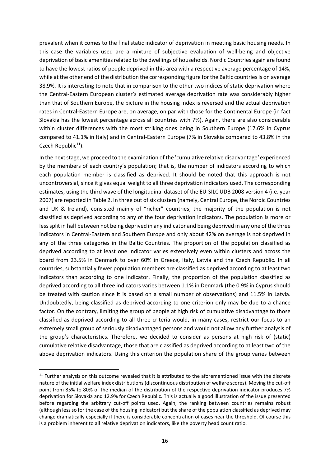prevalent when it comes to the final static indicator of deprivation in meeting basic housing needs. In this case the variables used are a mixture of subjective evaluation of well‐being and objective deprivation of basic amenities related to the dwellings of households. Nordic Countries again are found to have the lowest ratios of people deprived in this area with a respective average percentage of 14%, while at the other end of the distribution the corresponding figure for the Baltic countriesis on average 38.9%. It is interesting to note that in comparison to the other two indices of static deprivation where the Central‐Eastern European cluster's estimated average deprivation rate was considerably higher than that of Southern Europe, the picture in the housing index is reversed and the actual deprivation rates in Central‐Eastern Europe are, on average, on par with those for the Continental Europe (in fact Slovakia has the lowest percentage across all countries with 7%). Again, there are also considerable within cluster differences with the most striking ones being in Southern Europe (17.6% in Cyprus compared to 41.1% in Italy) and in Central‐Eastern Europe (7% in Slovakia compared to 43.8% in the Czech Republic $11$ ).

In the next stage, we proceed to the examination of the 'cumulative relative disadvantage' experienced by the members of each country's population; that is, the number of indicators according to which each population member is classified as deprived. It should be noted that this approach is not uncontroversial, since it gives equal weight to all three deprivation indicators used. The corresponding estimates, using the third wave of the longitudinal dataset of the EU‐SILC UDB 2008 version 4 (i.e. year 2007) are reported in Table 2. In three out of six clusters (namely, Central Europe, the Nordic Countries and UK & Ireland), consisted mainly of "richer" countries, the majority of the population is not classified as deprived according to any of the four deprivation indicators. The population is more or lesssplit in half between not being deprived in any indicator and being deprived in any one of the three indicators in Central‐Eastern and Southern Europe and only about 42% on average is not deprived in any of the three categories in the Baltic Countries. The proportion of the population classified as deprived according to at least one indicator varies extensively even within clusters and across the board from 23.5% in Denmark to over 60% in Greece, Italy, Latvia and the Czech Republic. In all countries, substantially fewer population members are classified as deprived according to at least two indicators than according to one indicator. Finally, the proportion of the population classified as deprived according to all three indicators varies between 1.1% in Denmark (the 0.9% in Cyprus should be treated with caution since it is based on a small number of observations) and 11.5% in Latvia. Undoubtedly, being classified as deprived according to one criterion only may be due to a chance factor. On the contrary, limiting the group of people at high risk of cumulative disadvantage to those classified as deprived according to all three criteria would, in many cases, restrict our focus to an extremely small group of seriously disadvantaged persons and would not allow any further analysis of the group's characteristics. Therefore, we decided to consider as persons at high risk of (static) cumulative relative disadvantage, those that are classified as deprived according to at least two of the above deprivation indicators. Using this criterion the population share of the group varies between

 $11$  Further analysis on this outcome revealed that it is attributed to the aforementioned issue with the discrete nature of the initial welfare index distributions (discontinuous distribution of welfare scores). Moving the cut‐off point from 85% to 80% of the median of the distribution of the respective deprivation indicator produces 7% deprivation for Slovakia and 12.9% for Czech Republic. This is actually a good illustration of the issue presented before regarding the arbitrary cut-off points used. Again, the ranking between countries remains robust (although less so for the case of the housing indicator) but the share of the population classified as deprived may change dramatically especially if there is considerable concentration of cases near the threshold. Of course this is a problem inherent to all relative deprivation indicators, like the poverty head count ratio.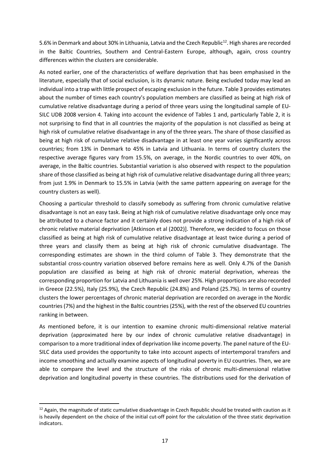5.6% in Denmark and about 30% in Lithuania, Latvia and the Czech Republic<sup>12</sup>. High shares are recorded in the Baltic Countries, Southern and Central‐Eastern Europe, although, again, cross country differences within the clusters are considerable.

As noted earlier, one of the characteristics of welfare deprivation that has been emphasised in the literature, especially that of social exclusion, is its dynamic nature. Being excluded today may lead an individual into a trap with little prospect of escaping exclusion in the future. Table 3 provides estimates about the number of times each country's population members are classified as being at high risk of cumulative relative disadvantage during a period of three years using the longitudinal sample of EU‐ SILC UDB 2008 version 4. Taking into account the evidence of Tables 1 and, particularly Table 2, it is not surprising to find that in all countries the majority of the population is not classified as being at high risk of cumulative relative disadvantage in any of the three years. The share of those classified as being at high risk of cumulative relative disadvantage in at least one year varies significantly across countries; from 13% in Denmark to 45% in Latvia and Lithuania. In terms of country clusters the respective average figures vary from 15.5%, on average, in the Nordic countries to over 40%, on average, in the Baltic countries. Substantial variation is also observed with respect to the population share of those classified as being at high risk of cumulative relative disadvantage during all three years; from just 1.9% in Denmark to 15.5% in Latvia (with the same pattern appearing on average for the country clusters as well).

Choosing a particular threshold to classify somebody as suffering from chronic cumulative relative disadvantage is not an easy task. Being at high risk of cumulative relative disadvantage only once may be attributed to a chance factor and it certainly does not provide a strong indication of a high risk of chronic relative material deprivation [Atkinson et al (2002)]. Therefore, we decided to focus on those classified as being at high risk of cumulative relative disadvantage at least twice during a period of three years and classify them as being at high risk of chronic cumulative disadvantage. The corresponding estimates are shown in the third column of Table 3. They demonstrate that the substantial cross‐country variation observed before remains here as well. Only 4.7% of the Danish population are classified as being at high risk of chronic material deprivation, whereas the corresponding proportion for Latvia and Lithuania is well over 25%. High proportions are also recorded in Greece (22.5%), Italy (25.9%), the Czech Republic (24.8%) and Poland (25.7%). In terms of country clusters the lower percentages of chronic material deprivation are recorded on average in the Nordic countries (7%) and the highest in the Baltic countries (25%), with the rest of the observed EU countries ranking in between.

As mentioned before, it is our intention to examine chronic multi‐dimensional relative material deprivation (approximated here by our index of chronic cumulative relative disadvantage) in comparison to a more traditional index of deprivation like income poverty. The panel nature of the EU‐ SILC data used provides the opportunity to take into account aspects of intertemporal transfers and income smoothing and actually examine aspects of longitudinal poverty in EU countries. Then, we are able to compare the level and the structure of the risks of chronic multi-dimensional relative deprivation and longitudinal poverty in these countries. The distributions used for the derivation of

 $12$  Again, the magnitude of static cumulative disadvantage in Czech Republic should be treated with caution as it is heavily dependent on the choice of the initial cut-off point for the calculation of the three static deprivation indicators.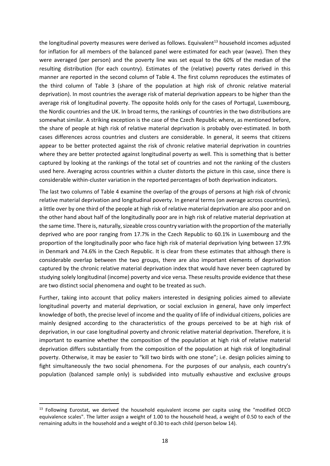the longitudinal poverty measures were derived as follows. Equivalent<sup>13</sup> household incomes adjusted for inflation for all members of the balanced panel were estimated for each year (wave). Then they were averaged (per person) and the poverty line was set equal to the 60% of the median of the resulting distribution (for each country). Estimates of the (relative) poverty rates derived in this manner are reported in the second column of Table 4. The first column reproduces the estimates of the third column of Table 3 (share of the population at high risk of chronic relative material deprivation). In most countries the average risk of material deprivation appears to be higher than the average risk of longitudinal poverty. The opposite holds only for the cases of Portugal, Luxembourg, the Nordic countries and the UK. In broad terms, the rankings of countries in the two distributions are somewhat similar. A striking exception is the case of the Czech Republic where, as mentioned before, the share of people at high risk of relative material deprivation is probably over‐estimated. In both cases differences across countries and clusters are considerable. In general, it seems that citizens appear to be better protected against the risk of chronic relative material deprivation in countries where they are better protected against longitudinal poverty as well. This is something that is better captured by looking at the rankings of the total set of countries and not the ranking of the clusters used here. Averaging across countries within a cluster distorts the picture in this case, since there is considerable within‐cluster variation in the reported percentages of both deprivation indicators.

The last two columns of Table 4 examine the overlap of the groups of persons at high risk of chronic relative material deprivation and longitudinal poverty. In general terms (on average across countries), a little over by one third of the people at high risk of relative material deprivation are also poor and on the other hand about half of the longitudinally poor are in high risk of relative material deprivation at the same time. There is, naturally, sizeable cross country variation with the proportion of the materially deprived who are poor ranging from 17.7% in the Czech Republic to 60.1% in Luxembourg and the proportion of the longitudinally poor who face high risk of material deprivation lying between 17.9% in Denmark and 74.6% in the Czech Republic. It is clear from these estimates that although there is considerable overlap between the two groups, there are also important elements of deprivation captured by the chronic relative material deprivation index that would have never been captured by studying solely longitudinal (income) poverty and vice versa. These results provide evidence that these are two distinct social phenomena and ought to be treated as such.

Further, taking into account that policy makers interested in designing policies aimed to alleviate longitudinal poverty and material deprivation, or social exclusion in general, have only imperfect knowledge of both, the precise level of income and the quality of life of individual citizens, policies are mainly designed according to the characteristics of the groups perceived to be at high risk of deprivation, in our case longitudinal poverty and chronic relative material deprivation. Therefore, it is important to examine whether the composition of the population at high risk of relative material deprivation differs substantially from the composition of the population at high risk of longitudinal poverty. Otherwise, it may be easier to "kill two birds with one stone"; i.e. design policies aiming to fight simultaneously the two social phenomena. For the purposes of our analysis, each country's population (balanced sample only) is subdivided into mutually exhaustive and exclusive groups

<sup>&</sup>lt;sup>13</sup> Following Eurostat, we derived the household equivalent income per capita using the "modified OECD equivalence scales". The latter assign a weight of 1.00 to the household head, a weight of 0.50 to each of the remaining adults in the household and a weight of 0.30 to each child (person below 14).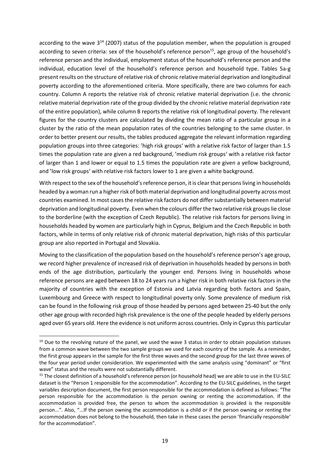according to the wave  $3^{14}$  (2007) status of the population member, when the population is grouped according to seven criteria: sex of the household's reference person<sup>15</sup>, age group of the household's reference person and the individual, employment status of the household's reference person and the individual, education level of the household's reference person and household type. Tables 5a‐g present results on the structure of relative risk of chronic relative material deprivation and longitudinal poverty according to the aforementioned criteria. More specifically, there are two columns for each country. Column A reports the relative risk of chronic relative material deprivation (i.e. the chronic relative material deprivation rate of the group divided by the chronic relative material deprivation rate of the entire population), while column B reports the relative risk of longitudinal poverty. The relevant figures for the country clusters are calculated by dividing the mean ratio of a particular group in a cluster by the ratio of the mean population rates of the countries belonging to the same cluster. In order to better present our results, the tables produced aggregate the relevant information regarding population groups into three categories: 'high risk groups' with a relative risk factor of larger than 1.5 times the population rate are given a red background, 'medium risk groups' with a relative risk factor of larger than 1 and lower or equal to 1.5 times the population rate are given a yellow background, and 'low risk groups' with relative risk factors lower to 1 are given a white background.

With respect to the sex of the household's reference person, it is clear that persons living in households headed by a woman run a higher risk of both material deprivation and longitudinal poverty across most countries examined. In most cases the relative risk factors do not differ substantially between material deprivation and longitudinal poverty. Even when the colours differ the two relative risk groups lie close to the borderline (with the exception of Czech Republic). The relative risk factors for persons living in households headed by women are particularly high in Cyprus, Belgium and the Czech Republic in both factors, while in terms of only relative risk of chronic material deprivation, high risks of this particular group are also reported in Portugal and Slovakia.

Moving to the classification of the population based on the household's reference person's age group, we record higher prevalence of increased risk of deprivation in households headed by persons in both ends of the age distribution, particularly the younger end. Persons living in households whose reference persons are aged between 18 to 24 years run a higher risk in both relative risk factors in the majority of countries with the exception of Estonia and Latvia regarding both factors and Spain, Luxembourg and Greece with respect to longitudinal poverty only. Some prevalence of medium risk can be found in the following risk group of those headed by persons aged between 25‐40 but the only other age group with recorded high risk prevalence is the one of the people headed by elderly persons aged over 65 years old. Here the evidence is not uniform across countries. Only in Cyprus this particular

 $14$  Due to the revolving nature of the panel, we used the wave 3 status in order to obtain population statuses from a common wave between the two sample groups we used for each country of the sample. As a reminder, the first group appears in the sample for the first three waves and the second group for the last three waves of the four year period under consideration. We experimented with the same analysis using "dominant" or "first wave" status and the results were not substantially different.

<sup>&</sup>lt;sup>15</sup> The closest definition of a household's reference person (or household head) we are able to use in the EU-SILC dataset is the "Person 1 responsible for the accommodation". According to the EU‐SILC guidelines, in the target variables description document, the first person responsible for the accommodation is defined as follows: "The person responsible for the accommodation is the person owning or renting the accommodation. If the accommodation is provided free, the person to whom the accommodation is provided is the responsible person...". Also, "...If the person owning the accommodation is a child or if the person owning or renting the accommodation does not belong to the household, then take in these cases the person 'financially responsible' for the accommodation".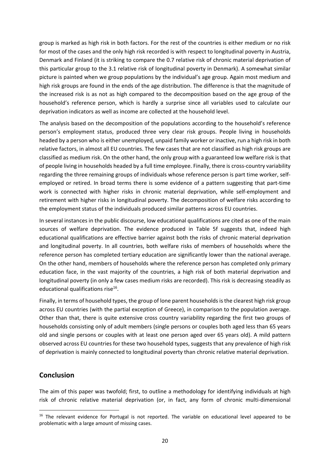group is marked as high risk in both factors. For the rest of the countries is either medium or no risk for most of the cases and the only high risk recorded is with respect to longitudinal poverty in Austria, Denmark and Finland (it is striking to compare the 0.7 relative risk of chronic material deprivation of this particular group to the 3.1 relative risk of longitudinal poverty in Denmark). A somewhat similar picture is painted when we group populations by the individual's age group. Again most medium and high risk groups are found in the ends of the age distribution. The difference is that the magnitude of the increased risk is as not as high compared to the decomposition based on the age group of the household's reference person, which is hardly a surprise since all variables used to calculate our deprivation indicators as well as income are collected at the household level.

The analysis based on the decomposition of the populations according to the household's reference person's employment status, produced three very clear risk groups. People living in households headed by a person who is either unemployed, unpaid family worker or inactive, run a high risk in both relative factors, in almost all EU countries. The few cases that are not classified as high risk groups are classified as medium risk. On the other hand, the only group with a guaranteed low welfare risk is that of people living in households headed by a full time employee. Finally, there is cross-country variability regarding the three remaining groups of individuals whose reference person is part time worker, self‐ employed or retired. In broad terms there is some evidence of a pattern suggesting that part‐time work is connected with higher risks in chronic material deprivation, while self-employment and retirement with higher risks in longitudinal poverty. The decomposition of welfare risks according to the employment status of the individuals produced similar patterns across EU countries.

In several instances in the public discourse, low educational qualifications are cited as one of the main sources of welfare deprivation. The evidence produced in Table 5f suggests that, indeed high educational qualifications are effective barrier against both the risks of chronic material deprivation and longitudinal poverty. In all countries, both welfare risks of members of households where the reference person has completed tertiary education are significantly lower than the national average. On the other hand, members of households where the reference person has completed only primary education face, in the vast majority of the countries, a high risk of both material deprivation and longitudinal poverty (in only a few cases medium risks are recorded). This risk is decreasing steadily as educational qualifications rise $16$ .

Finally, in terms of household types, the group of lone parent households is the clearest high risk group across EU countries (with the partial exception of Greece), in comparison to the population average. Other than that, there is quite extensive cross country variability regarding the first two groups of households consisting only of adult members (single persons or couples both aged less than 65 years old and single persons or couples with at least one person aged over 65 years old). A mild pattern observed across EU countries for these two household types, suggests that any prevalence of high risk of deprivation is mainly connected to longitudinal poverty than chronic relative material deprivation.

## **Conclusion**

The aim of this paper was twofold; first, to outline a methodology for identifying individuals at high risk of chronic relative material deprivation (or, in fact, any form of chronic multi‐dimensional

<sup>&</sup>lt;sup>16</sup> The relevant evidence for Portugal is not reported. The variable on educational level appeared to be problematic with a large amount of missing cases.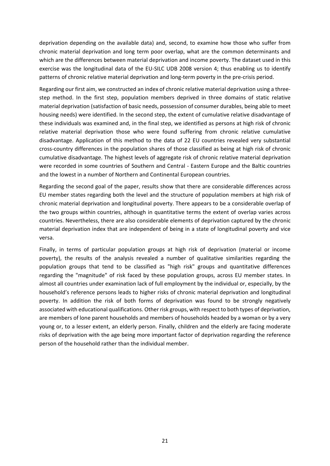deprivation depending on the available data) and, second, to examine how those who suffer from chronic material deprivation and long term poor overlap, what are the common determinants and which are the differences between material deprivation and income poverty. The dataset used in this exercise was the longitudinal data of the EU‐SILC UDB 2008 version 4; thus enabling us to identify patterns of chronic relative material deprivation and long‐term poverty in the pre‐crisis period.

Regarding our first aim, we constructed an index of chronic relative material deprivation using a three‐ step method. In the first step, population members deprived in three domains of static relative material deprivation (satisfaction of basic needs, possession of consumer durables, being able to meet housing needs) were identified. In the second step, the extent of cumulative relative disadvantage of these individuals was examined and, in the final step, we identified as persons at high risk of chronic relative material deprivation those who were found suffering from chronic relative cumulative disadvantage. Application of this method to the data of 22 EU countries revealed very substantial cross‐country differences in the population shares of those classified as being at high risk of chronic cumulative disadvantage. The highest levels of aggregate risk of chronic relative material deprivation were recorded in some countries of Southern and Central ‐ Eastern Europe and the Baltic countries and the lowest in a number of Northern and Continental European countries.

Regarding the second goal of the paper, results show that there are considerable differences across EU member states regarding both the level and the structure of population members at high risk of chronic material deprivation and longitudinal poverty. There appears to be a considerable overlap of the two groups within countries, although in quantitative terms the extent of overlap varies across countries. Nevertheless, there are also considerable elements of deprivation captured by the chronic material deprivation index that are independent of being in a state of longitudinal poverty and vice versa.

Finally, in terms of particular population groups at high risk of deprivation (material or income poverty), the results of the analysis revealed a number of qualitative similarities regarding the population groups that tend to be classified as "high risk" groups and quantitative differences regarding the "magnitude" of risk faced by these population groups, across EU member states. In almost all countries under examination lack of full employment by the individual or, especially, by the household's reference persons leads to higher risks of chronic material deprivation and longitudinal poverty. In addition the risk of both forms of deprivation was found to be strongly negatively associated with educational qualifications. Other risk groups, with respect to both types of deprivation, are members of lone parent households and members of households headed by a woman or by a very young or, to a lesser extent, an elderly person. Finally, children and the elderly are facing moderate risks of deprivation with the age being more important factor of deprivation regarding the reference person of the household rather than the individual member.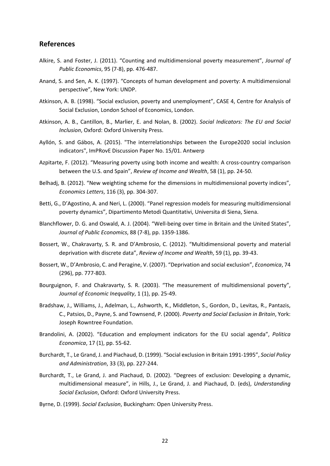#### **References**

- Alkire, S. and Foster, J. (2011). "Counting and multidimensional poverty measurement", *Journal of Public Economics*, 95 (7‐8), pp. 476‐487.
- Anand, S. and Sen, A. K. (1997). "Concepts of human development and poverty: A multidimensional perspective", New York: UNDP.
- Atkinson, A. B. (1998). "Social exclusion, poverty and unemployment", CASE 4, Centre for Analysis of Social Exclusion, London School of Economics, London.
- Atkinson, A. B., Cantillon, B., Marlier, E. and Nolan, B. (2002). *Social Indicators: The EU and Social Inclusion*, Oxford: Oxford University Press.
- Ayllón, S. and Gábos, A. (2015). "The interrelationships between the Europe2020 social inclusion indicators", ImPRovE Discussion Paper No. 15/01. Antwerp
- Azpitarte, F. (2012). "Measuring poverty using both income and wealth: A cross-country comparison between the U.S. αnd Spain", *Review of Income and Wealth*, 58 (1), pp. 24‐50.
- Belhadj, B. (2012). "New weighting scheme for the dimensions in multidimensional poverty indices", *Economics Letters*, 116 (3), pp. 304‐307.
- Betti, G., D'Agostino, A. and Neri, L. (2000). "Panel regression models for measuring multidimensional poverty dynamics", Dipartimento Metodi Quantitativi, Universita di Siena, Siena.
- Blanchflower, D. G. and Oswald, A. J. (2004). "Well-being over time in Britain and the United States", *Journal of Public Economics*, 88 (7‐8), pp. 1359‐1386.
- Bossert, W., Chakravarty, S. R. and D'Ambrosio, C. (2012). "Multidimensional poverty and material deprivation with discrete data", *Review of Income and Wealth*, 59 (1), pp. 39‐43.
- Bossert, W., D'Ambrosio, C. and Peragine, V. (2007). "Deprivation and social exclusion", *Economica*, 74 (296), pp. 777‐803.
- Bourguignon, F. and Chakravarty, S. R. (2003). "The measurement of multidimensional poverty", *Journal of Economic Inequality*, 1 (1), pp. 25‐49.
- Bradshaw, J., Williams, J., Adelman, L., Ashworth, K., Middleton, S., Gordon, D., Levitas, R., Pantazis, C., Patsios, D., Payne, S. and Townsend, P. (2000). *Poverty and Social Exclusion in Britain*, York: Joseph Rowntree Foundation.
- Brandolini, A. (2002). "Education and employment indicators for the EU social agenda", *Politica Economica*, 17 (1), pp. 55‐62.
- Burchardt, T., Le Grand, J. and Piachaud, D. (1999). "Social exclusion in Britain 1991‐1995", *Social Policy and Administration*, 33 (3), pp. 227‐244.
- Burchardt, Τ., Le Grand, J. and Piachaud, D. (2002). "Degrees of exclusion: Developing a dynamic, multidimensional measure", in Hills, J., Le Grand, J. and Piachaud, D. (eds), *Understanding Social Exclusion*, Oxford: Oxford University Press.
- Byrne, D. (1999). *Social Exclusion*, Buckingham: Open University Press.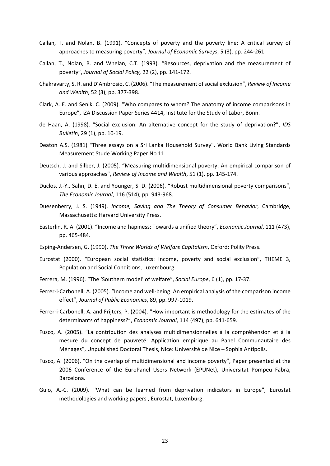- Callan, T. and Nolan, B. (1991). "Concepts of poverty and the poverty line: A critical survey of approaches to measuring poverty", *Journal of Economic Surveys*, 5 (3), pp. 244‐261.
- Callan, T., Nolan, B. and Whelan, C.T. (1993). "Resources, deprivation and the measurement of poverty", *Journal of Social Policy,* 22 (2), pp. 141‐172.
- Chakravarty, S. R. and D'Ambrosio, C. (2006). "The measurement ofsocial exclusion", *Review of Income and Wealth*, 52 (3), pp. 377‐398.
- Clark, A. E. and Senik, C. (2009). "Who compares to whom? The anatomy of income comparisons in Europe", IZA Discussion Paper Series 4414, Institute for the Study of Labor, Bonn.
- de Haan, A. (1998). "Social exclusion: An alternative concept for the study of deprivation?", *IDS Bulletin*, 29 (1), pp. 10‐19.
- Deaton A.S. (1981) "Three essays on a Sri Lanka Household Survey", World Bank Living Standards Measurement Stude Working Paper No 11.
- Deutsch, J. and Silber, J. (2005). "Measuring multidimensional poverty: An empirical comparison of various approaches", *Review of Income and Wealth*, 51 (1), pp. 145‐174.
- Duclos, J.‐Y., Sahn, D. E. and Younger, S. D. (2006). "Robust multidimensional poverty comparisons", *The Economic Journal*, 116 (514), pp. 943‐968.
- Duesenberry, J. S. (1949). *Income, Saving and The Theory of Consumer Behavior*, Cambridge, Massachusetts: Harvard University Press.
- Easterlin, R. A. (2001). "Income and hapiness: Towards a unified theory", *Economic Journal*, 111 (473), pp. 465‐484.
- Esping‐Andersen, G. (1990). *The Three Worlds of Welfare Capitalism*, Oxford: Polity Press.
- Eurostat (2000). "European social statistics: Income, poverty and social exclusion", THEME 3, Population and Social Conditions, Luxembourg.
- Ferrera, M. (1996). "The 'Southern model' of welfare", *Social Europe*, 6 (1), pp. 17‐37.
- Ferrer‐i‐Carbonell, A. (2005). "Income and well‐being: An empirical analysis of the comparison income effect", *Journal of Public Economics*, 89, pp. 997‐1019.
- Ferrer‐i‐Carbonell, A. and Frijters, P. (2004). "How important is methodology for the estimates of the determinants of happiness?", *Economic Journal*, 114 (497), pp. 641‐659.
- Fusco, A. (2005). "La contribution des analyses multidimensionnelles à la compréhension et à la mesure du concept de pauvreté: Application empirique au Panel Communautaire des Ménages", Unpublished Doctoral Thesis, Nice: Université de Nice – Sophia Antipolis.
- Fusco, A. (2006). "On the overlap of multidimensional and income poverty", Paper presented at the 2006 Conference of the EuroPanel Users Network (EPUNet), Universitat Pompeu Fabra, Barcelona.
- Guio, A.‐C. (2009). "What can be learned from deprivation indicators in Europe", Eurostat methodologies and working papers , Eurostat, Luxemburg.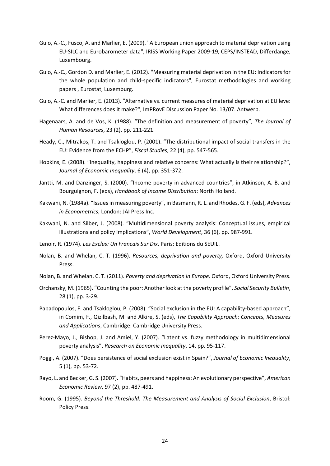- Guio, A.‐C., Fusco, A. and Marlier, E. (2009). "A European union approach to material deprivation using EU‐SILC and Eurobarometer data", IRISS Working Paper 2009‐19, CEPS/INSTEAD, Differdange, Luxembourg.
- Guio, A.‐C., Gordon D. and Marlier, E. (2012). "Measuring material deprivation in the EU: Indicators for the whole population and child‐specific indicators", Eurostat methodologies and working papers , Eurostat, Luxemburg.
- Guio, A.‐C. and Marlier, E. (2013). "Alternative vs. current measures of material deprivation at EU leve: What differences does it make?", ImPRovE Discussion Paper No. 13/07. Antwerp.
- Hagenaars, A. and de Vos, K. (1988). "The definition and measurement of poverty", *The Journal of Human Resources*, 23 (2), pp. 211‐221.
- Heady, C., Mitrakos, T. and Tsakloglou, P. (2001). "The distributional impact of social transfers in the EU: Evidence from the ECHP", *Fiscal Studies*, 22 (4), pp. 547‐565.
- Hopkins, E. (2008). "Inequality, happiness and relative concerns: What actually is their relationship?", *Journal of Economic Inequality*, 6 (4), pp. 351‐372.
- Jantti, M. and Danzinger, S. (2000). "Income poverty in advanced countries", in Atkinson, A. B. and Bourguignon, F. (eds), *Handbook of Income Distribution*: North Holland.
- Kakwani, N. (1984a). "Issuesin measuring poverty", in Basmann, R. L. and Rhodes, G. F. (eds), *Advances in Econometrics*, London: JAI Press Inc.
- Kakwani, N. and Silber, J. (2008). "Multidimensional poverty analysis: Conceptual issues, empirical illustrations and policy implications", *World Development*, 36 (6), pp. 987‐991.
- Lenoir, R. (1974). *Les Exclus: Un Francais Sur Dix*, Paris: Editions du SEUIL.
- Nolan, B. and Whelan, C. T. (1996). *Resources, deprivation and poverty,* Oxford, Oxford University Press.
- Nolan, B. and Whelan, C. T. (2011). *Poverty and deprivation in Europe,* Oxford, Oxford University Press.
- Orchansky, M. (1965). "Counting the poor: Another look at the poverty profile", *Social Security Bulletin*, 28 (1), pp. 3‐29.
- Papadopoulos, F. and Tsakloglou, P. (2008). "Social exclusion in the EU: A capability-based approach", in Comim, F., Qizilbash, M. and Alkire, S. (eds), *The Capability Approach: Concepts, Measures and Applications*, Cambridge: Cambridge University Press.
- Perez‐Mayo, J., Bishop, J. and Amiel, Y. (2007). "Latent vs. fuzzy methodology in multidimensional poverty analysis", *Research on Economic Inequality*, 14, pp. 95‐117.
- Poggi, A. (2007). "Does persistence of social exclusion exist in Spain?", *Journal of Economic Inequality*, 5 (1), pp. 53‐72.
- Rayo, L. and Becker, G. S. (2007). "Habits, peers and happiness: An evolutionary perspective", *American Economic Review*, 97 (2), pp. 487‐491.
- Room, G. (1995). *Beyond the Threshold: The Measurement and Analysis of Social Exclusion*, Bristol: Policy Press.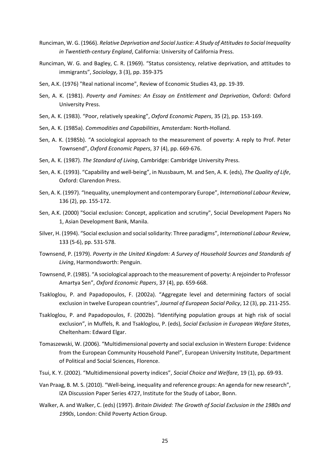- Runciman, W. G. (1966). *Relative Deprivation and Social Justice: A Study of Attitudesto Social Inequality in Twentieth‐century England*, California: University of California Press.
- Runciman, W. G. and Bagley, C. R. (1969). "Status consistency, relative deprivation, and attitudes to immigrants", *Sociology*, 3 (3), pp. 359‐375
- Sen, A.K. (1976) "Real national income", Review of Economic Studies 43, pp. 19‐39.
- Sen, A. K. (1981). *Poverty and Famines: An Essay on Entitlement and Deprivation*, Oxford: Oxford University Press.
- Sen, A. K. (1983). "Poor, relatively speaking", *Oxford Economic Papers*, 35 (2), pp. 153‐169.
- Sen, A. K. (1985a). *Commodities and Capabilities*, Amsterdam: North‐Holland.
- Sen, A. K. (1985b). "A sociological approach to the measurement of poverty: A reply to Prof. Peter Townsend", *Oxford Economic Papers*, 37 (4), pp. 669‐676.
- Sen, A. K. (1987). *The Standard of Living*, Cambridge: Cambridge University Press.
- Sen, A. K. (1993). "Capability and well‐being", in Nussbaum, M. and Sen, A. K. (eds), *The Quality of Life*, Oxford: Clarendon Press.
- Sen, A. K. (1997). "Inequality, unemployment and contemporary Europe", *International Labour Review*, 136 (2), pp. 155‐172.
- Sen, A.K. (2000) "Social exclusion: Concept, application and scrutiny", Social Development Papers No 1, Asian Development Bank, Manila.
- Silver, H. (1994). "Social exclusion and socialsolidarity: Three paradigms", *International Labour Review*, 133 (5‐6), pp. 531‐578.
- Townsend, P. (1979). *Poverty in the United Kingdom: A Survey of Household Sources and Standards of Living*, Harmondsworth: Penguin.
- Townsend, P. (1985). "A sociological approach to the measurement of poverty: A rejoinder to Professor Amartya Sen", *Oxford Economic Papers*, 37 (4), pp. 659‐668.
- Tsakloglou, P. and Papadopoulos, F. (2002a). "Aggregate level and determining factors of social exclusion in twelve European countries", *Journal of European Social Policy*, 12 (3), pp. 211‐255.
- Tsakloglou, P. and Papadopoulos, F. (2002b). "Identifying population groups at high risk of social exclusion", in Muffels, R. and Tsakloglou, P. (eds), *Social Exclusion in European Wefare States*, Cheltenham: Edward Elgar.
- Tomaszewski, W. (2006). "Multidimensional poverty and social exclusion in Western Europe: Evidence from the European Community Household Panel", European University Institute, Department of Political and Social Sciences, Florence.
- Tsui, K. Y. (2002). "Multidimensional poverty indices", *Social Choice and Welfare*, 19 (1), pp. 69‐93.
- Van Praag, B. M. S. (2010). "Well‐being, inequality and reference groups: An agenda for new research", IZA Discussion Paper Series 4727, Institute for the Study of Labor, Bonn.
- Walker, A. and Walker, C. (eds) (1997). *Britain Divided: The Growth of Social Exclusion in the 1980s and 1990s*, London: Child Poverty Action Group.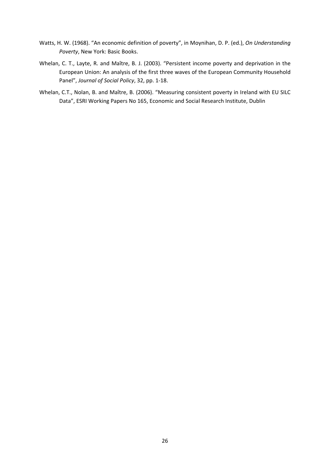- Watts, H. W. (1968). "An economic definition of poverty", in Moynihan, D. P. (ed.), *On Understanding Poverty*, New York: Basic Books.
- Whelan, C. T., Layte, R. and Maître, B. J. (2003). "Persistent income poverty and deprivation in the European Union: An analysis of the first three waves of the European Community Household Panel", *Journal of Social Policy*, 32, pp. 1‐18.
- Whelan, C.T., Nolan, B. and Maître, B. (2006). "Measuring consistent poverty in Ireland with EU SILC Data", ESRI Working Papers No 165, Economic and Social Research Institute, Dublin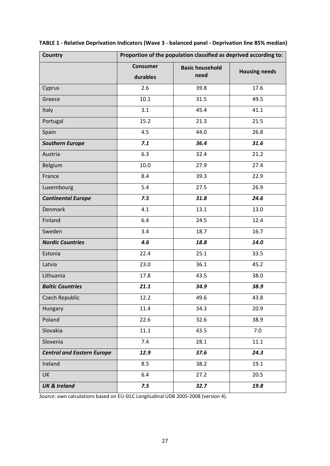| <b>Country</b>                    | Proportion of the population classified as deprived according to: |                                |                      |  |  |  |  |  |
|-----------------------------------|-------------------------------------------------------------------|--------------------------------|----------------------|--|--|--|--|--|
|                                   | <b>Consumer</b><br>durables                                       | <b>Basic household</b><br>need | <b>Housing needs</b> |  |  |  |  |  |
| Cyprus                            | 2.6                                                               | 39.8                           | 17.6                 |  |  |  |  |  |
| Greece                            | 10.1                                                              | 31.5                           | 49.5                 |  |  |  |  |  |
| <b>Italy</b>                      | 3.1                                                               | 45.4                           | 41.1                 |  |  |  |  |  |
| Portugal                          | 15.2                                                              | 21.3                           | 21.5                 |  |  |  |  |  |
| Spain                             | 4.5                                                               | 44.0                           | 26.8                 |  |  |  |  |  |
| <b>Southern Europe</b>            | 7.1                                                               | 36.4                           | 31.6                 |  |  |  |  |  |
| Austria                           | 6.3                                                               | 32.4                           | 21.2                 |  |  |  |  |  |
| Belgium                           | 10.0                                                              | 27.9                           | 27.4                 |  |  |  |  |  |
| France                            | 8.4                                                               | 39.3                           | 22.9                 |  |  |  |  |  |
| Luxembourg                        | 5.4                                                               | 27.5                           | 26.9                 |  |  |  |  |  |
| <b>Continental Europe</b>         | 7.5                                                               | 31.8                           | 24.6                 |  |  |  |  |  |
| <b>Denmark</b>                    | 4.1                                                               | 13.1                           | 13.0                 |  |  |  |  |  |
| Finland                           | 6.4                                                               | 24.5                           | 12.4                 |  |  |  |  |  |
| Sweden                            | 3.4                                                               | 18.7                           | 16.7                 |  |  |  |  |  |
| <b>Nordic Countries</b>           | 4.6                                                               | 18.8                           | 14.0                 |  |  |  |  |  |
| Estonia                           | 22.4                                                              | 25.1                           | 33.5                 |  |  |  |  |  |
| Latvia                            | 23.0                                                              | 36.1                           | 45.2                 |  |  |  |  |  |
| Lithuania                         | 17.8                                                              | 43.5                           | 38.0                 |  |  |  |  |  |
| <b>Baltic Countries</b>           | 21.1                                                              | 34.9                           | 38.9                 |  |  |  |  |  |
| <b>Czech Republic</b>             | 12.2                                                              | 49.6                           | 43.8                 |  |  |  |  |  |
| Hungary                           | 11.4                                                              | 34.3                           | 20.9                 |  |  |  |  |  |
| Poland                            | 22.6                                                              | 32.6                           | 38.9                 |  |  |  |  |  |
| Slovakia                          | 11.1                                                              | 43.5                           | 7.0                  |  |  |  |  |  |
| Slovenia                          | 7.4                                                               | 28.1                           | 11.1                 |  |  |  |  |  |
| <b>Central and Eastern Europe</b> | 12.9                                                              | 37.6                           | 24.3                 |  |  |  |  |  |
| Ireland                           | 8.5                                                               | 38.2                           | 19.1                 |  |  |  |  |  |
| <b>UK</b>                         | 6.4                                                               | 27.2                           | 20.5                 |  |  |  |  |  |
| <b>UK &amp; Ireland</b>           | 7.5                                                               | 32.7                           | 19.8                 |  |  |  |  |  |

| TABLE 1 - Relative Deprivation Indicators (Wave 3 - balanced panel - Deprivation line 85% median) |  |  |
|---------------------------------------------------------------------------------------------------|--|--|
|---------------------------------------------------------------------------------------------------|--|--|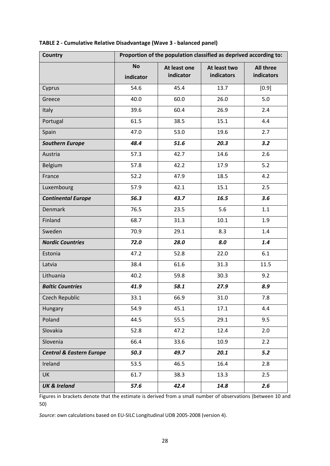| Country                             | Proportion of the population classified as deprived according to: |                           |                            |                                |  |  |  |  |  |
|-------------------------------------|-------------------------------------------------------------------|---------------------------|----------------------------|--------------------------------|--|--|--|--|--|
|                                     | <b>No</b><br>indicator                                            | At least one<br>indicator | At least two<br>indicators | <b>All three</b><br>indicators |  |  |  |  |  |
| Cyprus                              | 54.6                                                              | 45.4                      | 13.7                       | $[0.9]$                        |  |  |  |  |  |
| Greece                              | 40.0                                                              | 60.0                      | 26.0                       | 5.0                            |  |  |  |  |  |
| <b>Italy</b>                        | 39.6                                                              | 60.4                      | 26.9                       | 2.4                            |  |  |  |  |  |
| Portugal                            | 61.5                                                              | 38.5                      | 15.1                       | 4.4                            |  |  |  |  |  |
| Spain                               | 47.0                                                              | 53.0                      | 19.6                       | 2.7                            |  |  |  |  |  |
| <b>Southern Europe</b>              | 48.4                                                              | 51.6                      | 20.3                       | 3.2                            |  |  |  |  |  |
| Austria                             | 57.3                                                              | 42.7                      | 14.6                       | 2.6                            |  |  |  |  |  |
| Belgium                             | 57.8                                                              | 42.2                      | 17.9                       | 5.2                            |  |  |  |  |  |
| France                              | 52.2                                                              | 47.9                      | 18.5                       | 4.2                            |  |  |  |  |  |
| Luxembourg                          | 57.9                                                              | 42.1                      | 15.1                       | 2.5                            |  |  |  |  |  |
| <b>Continental Europe</b>           | 56.3                                                              | 43.7                      | 16.5                       | 3.6                            |  |  |  |  |  |
| <b>Denmark</b>                      | 76.5                                                              | 23.5                      | 5.6                        | 1.1                            |  |  |  |  |  |
| Finland                             | 68.7                                                              | 31.3                      | 10.1                       | 1.9                            |  |  |  |  |  |
| Sweden                              | 70.9                                                              | 29.1                      | 8.3                        | 1.4                            |  |  |  |  |  |
| <b>Nordic Countries</b>             | 72.0                                                              | 28.0                      | 8.0                        | 1.4                            |  |  |  |  |  |
| Estonia                             | 47.2                                                              | 52.8                      | 22.0                       | 6.1                            |  |  |  |  |  |
| Latvia                              | 38.4                                                              | 61.6                      | 31.3                       | 11.5                           |  |  |  |  |  |
| Lithuania                           | 40.2                                                              | 59.8                      | 30.3                       | 9.2                            |  |  |  |  |  |
| <b>Baltic Countries</b>             | 41.9                                                              | 58.1                      | 27.9                       | 8.9                            |  |  |  |  |  |
| Czech Republic                      | 33.1                                                              | 66.9                      | 31.0                       | 7.8                            |  |  |  |  |  |
| <b>Hungary</b>                      | 54.9                                                              | 45.1                      | 17.1                       | 4.4                            |  |  |  |  |  |
| Poland                              | 44.5                                                              | 55.5                      | 29.1                       | 9.5                            |  |  |  |  |  |
| Slovakia                            | 52.8                                                              | 47.2                      | 12.4                       | 2.0                            |  |  |  |  |  |
| Slovenia                            | 66.4                                                              | 33.6                      | 10.9                       | 2.2                            |  |  |  |  |  |
| <b>Central &amp; Eastern Europe</b> | 50.3                                                              | 49.7                      | 20.1                       | $5.2$                          |  |  |  |  |  |
| Ireland                             | 53.5                                                              | 46.5                      | 16.4                       | 2.8                            |  |  |  |  |  |
| <b>UK</b>                           | 61.7                                                              | 38.3                      | 13.3                       | 2.5                            |  |  |  |  |  |
| <b>UK &amp; Ireland</b>             | 57.6                                                              | 42.4                      | 14.8                       | 2.6                            |  |  |  |  |  |

## **TABLE 2 ‐ Cumulative Relative Disadvantage (Wave 3 ‐ balanced panel)**

Figures in brackets denote that the estimate is derived from a small number of observations (between 10 and 50)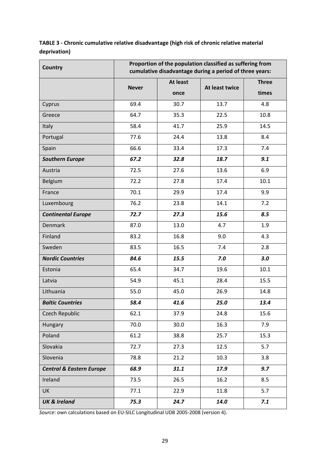**TABLE 3 ‐ Chronic cumulative relative disadvantage (high risk of chronic relative material deprivation)**

| <b>Country</b>                      | Proportion of the population classified as suffering from<br>cumulative disadvantage during a period of three years: |                         |                |                       |  |  |  |  |  |
|-------------------------------------|----------------------------------------------------------------------------------------------------------------------|-------------------------|----------------|-----------------------|--|--|--|--|--|
|                                     | <b>Never</b>                                                                                                         | <b>At least</b><br>once | At least twice | <b>Three</b><br>times |  |  |  |  |  |
| Cyprus                              | 69.4                                                                                                                 | 30.7                    | 13.7           | 4.8                   |  |  |  |  |  |
| Greece                              | 64.7                                                                                                                 | 35.3                    | 22.5           | 10.8                  |  |  |  |  |  |
| <b>Italy</b>                        | 58.4                                                                                                                 | 41.7                    | 25.9           | 14.5                  |  |  |  |  |  |
| Portugal                            | 77.6                                                                                                                 | 24.4                    | 13.8           | 8.4                   |  |  |  |  |  |
| Spain                               | 66.6                                                                                                                 | 33.4                    | 17.3           | 7.4                   |  |  |  |  |  |
| <b>Southern Europe</b>              | 67.2                                                                                                                 | 32.8                    | 18.7           | 9.1                   |  |  |  |  |  |
| Austria                             | 72.5                                                                                                                 | 27.6                    | 13.6           | 6.9                   |  |  |  |  |  |
| Belgium                             | 72.2                                                                                                                 | 27.8                    | 17.4           | 10.1                  |  |  |  |  |  |
| France                              | 70.1                                                                                                                 | 29.9                    | 17.4           | 9.9                   |  |  |  |  |  |
| Luxembourg                          | 76.2                                                                                                                 | 23.8                    | 14.1           | 7.2                   |  |  |  |  |  |
| <b>Continental Europe</b>           | 72.7                                                                                                                 | 27.3                    | 15.6           | 8.5                   |  |  |  |  |  |
| <b>Denmark</b>                      | 87.0                                                                                                                 | 13.0                    | 4.7            | 1.9                   |  |  |  |  |  |
| Finland                             | 83.2                                                                                                                 | 16.8                    | 9.0            | 4.3                   |  |  |  |  |  |
| Sweden                              | 83.5                                                                                                                 | 16.5                    | 7.4            | 2.8                   |  |  |  |  |  |
| <b>Nordic Countries</b>             | 84.6                                                                                                                 | 15.5                    | 7.0            | 3.0                   |  |  |  |  |  |
| Estonia                             | 65.4                                                                                                                 | 34.7                    | 19.6           | 10.1                  |  |  |  |  |  |
| Latvia                              | 54.9                                                                                                                 | 45.1                    | 28.4           | 15.5                  |  |  |  |  |  |
| Lithuania                           | 55.0                                                                                                                 | 45.0                    | 26.9           | 14.8                  |  |  |  |  |  |
| <b>Baltic Countries</b>             | 58.4                                                                                                                 | 41.6                    | 25.0           | 13.4                  |  |  |  |  |  |
| <b>Czech Republic</b>               | 62.1                                                                                                                 | 37.9                    | 24.8           | 15.6                  |  |  |  |  |  |
| Hungary                             | 70.0                                                                                                                 | 30.0                    | 16.3           | 7.9                   |  |  |  |  |  |
| Poland                              | 61.2                                                                                                                 | 38.8                    | 25.7           | 15.3                  |  |  |  |  |  |
| Slovakia                            | 72.7                                                                                                                 | 27.3                    | 12.5           | 5.7                   |  |  |  |  |  |
| Slovenia                            | 78.8                                                                                                                 | 21.2                    | 10.3           | 3.8                   |  |  |  |  |  |
| <b>Central &amp; Eastern Europe</b> | 68.9                                                                                                                 | 31.1                    | 17.9           | 9.7                   |  |  |  |  |  |
| Ireland                             | 73.5                                                                                                                 | 26.5                    | 16.2           | 8.5                   |  |  |  |  |  |
| <b>UK</b>                           | 77.1                                                                                                                 | 22.9                    | 11.8           | 5.7                   |  |  |  |  |  |
| <b>UK &amp; Ireland</b>             | 75.3                                                                                                                 | 24.7                    | 14.0           | 7.1                   |  |  |  |  |  |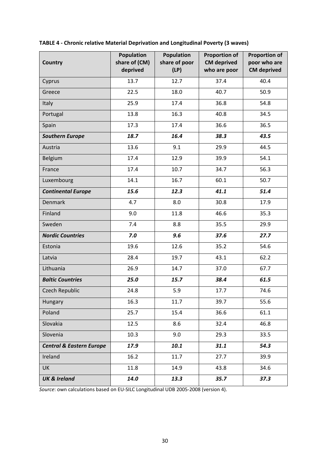| <b>Country</b>                      | <b>Population</b><br>share of (CM)<br>deprived | <b>Population</b><br>share of poor<br>(LP) | <b>Proportion of</b><br><b>CM</b> deprived<br>who are poor | <b>Proportion of</b><br>poor who are<br><b>CM</b> deprived |
|-------------------------------------|------------------------------------------------|--------------------------------------------|------------------------------------------------------------|------------------------------------------------------------|
| Cyprus                              | 13.7                                           | 12.7                                       | 37.4                                                       | 40.4                                                       |
| Greece                              | 22.5                                           | 18.0                                       | 40.7                                                       | 50.9                                                       |
| <b>Italy</b>                        | 25.9                                           | 17.4                                       | 36.8                                                       | 54.8                                                       |
| Portugal                            | 13.8                                           | 16.3                                       | 40.8                                                       | 34.5                                                       |
| Spain                               | 17.3                                           | 17.4                                       | 36.6                                                       | 36.5                                                       |
| <b>Southern Europe</b>              | 18.7                                           | 16.4                                       | 38.3                                                       | 43.5                                                       |
| Austria                             | 13.6                                           | 9.1                                        | 29.9                                                       | 44.5                                                       |
| Belgium                             | 17.4                                           | 12.9                                       | 39.9                                                       | 54.1                                                       |
| France                              | 17.4                                           | 10.7                                       | 34.7                                                       | 56.3                                                       |
| Luxembourg                          | 14.1                                           | 16.7                                       | 60.1                                                       | 50.7                                                       |
| <b>Continental Europe</b>           | 15.6                                           | 12.3                                       | 41.1                                                       | 51.4                                                       |
| <b>Denmark</b>                      | 4.7                                            | 8.0                                        | 30.8                                                       | 17.9                                                       |
| Finland                             | 9.0                                            | 11.8                                       | 46.6                                                       | 35.3                                                       |
| Sweden                              | 7.4                                            | 8.8                                        | 35.5                                                       | 29.9                                                       |
| <b>Nordic Countries</b>             | 7.0                                            | 9.6                                        | 37.6                                                       | 27.7                                                       |
| Estonia                             | 19.6                                           | 12.6                                       | 35.2                                                       | 54.6                                                       |
| Latvia                              | 28.4                                           | 19.7                                       | 43.1                                                       | 62.2                                                       |
| Lithuania                           | 26.9                                           | 14.7                                       | 37.0                                                       | 67.7                                                       |
| <b>Baltic Countries</b>             | 25.0                                           | 15.7                                       | 38.4                                                       | 61.5                                                       |
| <b>Czech Republic</b>               | 24.8                                           | 5.9                                        | 17.7                                                       | 74.6                                                       |
| Hungary                             | 16.3                                           | 11.7                                       | 39.7                                                       | 55.6                                                       |
| Poland                              | 25.7                                           | 15.4                                       | 36.6                                                       | 61.1                                                       |
| Slovakia                            | 12.5                                           | 8.6                                        | 32.4                                                       | 46.8                                                       |
| Slovenia                            | 10.3                                           | 9.0                                        | 29.3                                                       | 33.5                                                       |
| <b>Central &amp; Eastern Europe</b> | 17.9                                           | 10.1                                       | 31.1                                                       | 54.3                                                       |
| Ireland                             | 16.2                                           | 11.7                                       | 27.7                                                       | 39.9                                                       |
| <b>UK</b>                           | 11.8                                           | 14.9                                       | 43.8                                                       | 34.6                                                       |
| <b>UK &amp; Ireland</b>             | 14.0                                           | 13.3                                       | 35.7                                                       | 37.3                                                       |

| TABLE 4 - Chronic relative Material Deprivation and Longitudinal Poverty (3 waves) |  |  |  |
|------------------------------------------------------------------------------------|--|--|--|
|------------------------------------------------------------------------------------|--|--|--|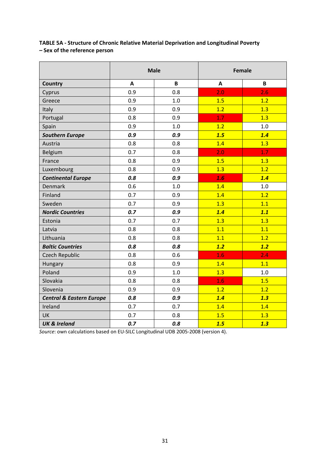**TABLE 5A ‐ Structure of Chronic Relative Material Deprivation and Longitudinal Poverty – Sex of the reference person**

|                                     |     | <b>Male</b> | Female |     |  |  |
|-------------------------------------|-----|-------------|--------|-----|--|--|
| <b>Country</b>                      | A   | B           | A      | B   |  |  |
| Cyprus                              | 0.9 | 0.8         | 2.0    | 2.6 |  |  |
| Greece                              | 0.9 | 1.0         | 1.5    | 1.2 |  |  |
| Italy                               | 0.9 | 0.9         | 1.2    | 1.3 |  |  |
| Portugal                            | 0.8 | 0.9         | 1.7    | 1.3 |  |  |
| Spain                               | 0.9 | 1.0         | 1.2    | 1.0 |  |  |
| <b>Southern Europe</b>              | 0.9 | 0.9         | 1.5    | 1.4 |  |  |
| Austria                             | 0.8 | 0.8         | 1.4    | 1.3 |  |  |
| Belgium                             | 0.7 | 0.8         | 2.0    | 1.7 |  |  |
| France                              | 0.8 | 0.9         | 1.5    | 1.3 |  |  |
| Luxembourg                          | 0.8 | 0.9         | 1.3    | 1.2 |  |  |
| <b>Continental Europe</b>           | 0.8 | 0.9         | 1.6    | 1.4 |  |  |
| <b>Denmark</b>                      | 0.6 | 1.0         | 1.4    | 1.0 |  |  |
| Finland                             | 0.7 | 0.9         | 1.4    | 1.2 |  |  |
| Sweden                              | 0.7 | 0.9         | 1.3    | 1.1 |  |  |
| <b>Nordic Countries</b>             | 0.7 | 0.9         | 1.4    | 1.1 |  |  |
| Estonia                             | 0.7 | 0.7         | 1.3    | 1.3 |  |  |
| Latvia                              | 0.8 | 0.8         | 1.1    | 1.1 |  |  |
| Lithuania                           | 0.8 | 0.8         | 1.1    | 1.2 |  |  |
| <b>Baltic Countries</b>             | 0.8 | 0.8         | 1.2    | 1.2 |  |  |
| <b>Czech Republic</b>               | 0.8 | 0.6         | 1.6    | 2.4 |  |  |
| Hungary                             | 0.8 | 0.9         | 1.4    | 1.1 |  |  |
| Poland                              | 0.9 | 1.0         | 1.3    | 1.0 |  |  |
| Slovakia                            | 0.8 | 0.8         | 1.6    | 1.5 |  |  |
| Slovenia                            | 0.9 | 0.9         | 1.2    | 1.2 |  |  |
| <b>Central &amp; Eastern Europe</b> | 0.8 | 0.9         | 1.4    | 1.3 |  |  |
| Ireland                             | 0.7 | 0.7         | 1.4    | 1.4 |  |  |
| UK                                  | 0.7 | 0.8         | 1.5    | 1.3 |  |  |
| <b>UK &amp; Ireland</b>             | 0.7 | 0.8         | 1.5    | 1.3 |  |  |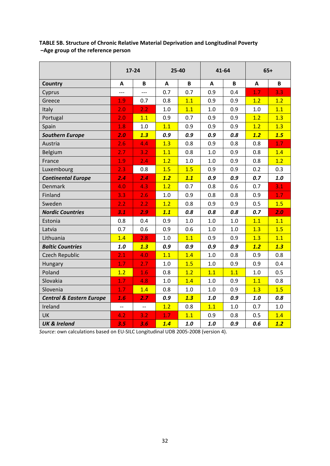| TABLE 5B. Structure of Chronic Relative Material Deprivation and Longitudinal Poverty |
|---------------------------------------------------------------------------------------|
| -Age group of the reference person                                                    |

|                                     |                          | 17-24  | 25-40 |     |        | 41-64 | $65+$ |       |  |
|-------------------------------------|--------------------------|--------|-------|-----|--------|-------|-------|-------|--|
| <b>Country</b>                      | A                        | B<br>A |       | B   | B<br>A |       | A     | B     |  |
| Cyprus                              |                          | $---$  | 0.7   | 0.7 | 0.9    | 0.4   | 1.7   | 3.3   |  |
| Greece                              | 1.9                      | 0.7    | 0.8   | 1.1 | 0.9    | 0.9   | 1.2   | 1.2   |  |
| Italy                               | 2.0                      | 2.2    | 1.0   | 1.1 | 1.0    | 0.9   | 1.0   | 1.1   |  |
| Portugal                            | 2.0                      | 1.1    | 0.9   | 0.7 | 0.9    | 0.9   | 1.2   | 1.3   |  |
| Spain                               | 1.8                      | 1.0    | 1.1   | 0.9 | 0.9    | 0.9   | 1.2   | 1.3   |  |
| <b>Southern Europe</b>              | 2.0                      | 1.3    | 0.9   | 0.9 | 0.9    | 0.8   | 1.2   | 1.5   |  |
| Austria                             | 2.6                      | 4.4    | 1.3   | 0.8 | 0.9    | 0.8   | 0.8   | 1.7   |  |
| Belgium                             | 2.7                      | 3.2    | 1.1   | 0.8 | 1.0    | 0.9   | 0.8   | 1.4   |  |
| France                              | 1.9                      | 2.4    | 1.2   | 1.0 | 1.0    | 0.9   | 0.8   | 1.2   |  |
| Luxembourg                          | 2.3                      | 0.8    | 1.5   | 1.5 | 0.9    | 0.9   | 0.2   | 0.3   |  |
| <b>Continental Europe</b>           | 2.4                      | 2.4    | 1.2   | 1.1 | 0.9    | 0.9   | 0.7   | $1.0$ |  |
| <b>Denmark</b>                      | 4.0                      | 4.3    | 1.2   | 0.7 | 0.8    | 0.6   | 0.7   | 3.1   |  |
| Finland                             | 3.3                      | 2.6    | 1.0   | 0.9 | 0.8    | 0.8   | 0.9   | 1.7   |  |
| Sweden                              | 2.2                      | 2.2    | 1.2   | 0.8 | 0.9    | 0.9   | 0.5   | 1.5   |  |
| <b>Nordic Countries</b>             | 3.1                      | 2.9    | 1.1   | 0.8 | 0.8    | 0.8   | 0.7   | 2.0   |  |
| Estonia                             | 0.8                      | 0.4    | 0.9   | 1.0 | 1.0    | $1.0$ | 1.1   | 1.1   |  |
| Latvia                              | 0.7                      | 0.6    | 0.9   | 0.6 | 1.0    | 1.0   | 1.3   | 1.5   |  |
| Lithuania                           | 1.4                      | 2.8    | 1.0   | 1.1 | 0.9    | 0.9   | 1.3   | 1.1   |  |
| <b>Baltic Countries</b>             | 1.0                      | 1.3    | 0.9   | 0.9 | 0.9    | 0.9   | 1.2   | 1.3   |  |
| <b>Czech Republic</b>               | 2.1                      | 4.0    | 1.1   | 1.4 | 1.0    | 0.8   | 0.9   | 0.8   |  |
| Hungary                             | 1.7                      | 2.7    | 1.0   | 1.5 | 1.0    | 0.9   | 0.9   | 0.4   |  |
| Poland                              | 1.2                      | 1.6    | 0.8   | 1.2 | 1.1    | 1.1   | 1.0   | 0.5   |  |
| Slovakia                            | 1.7                      | 4.8    | 1.0   | 1.4 | 1.0    | 0.9   | 1.1   | 0.8   |  |
| Slovenia                            | 1.7                      | 1.4    | 0.8   | 1.0 | 1.0    | 0.9   | 1.3   | 1.5   |  |
| <b>Central &amp; Eastern Europe</b> | 1.6                      | 2.7    | 0.9   | 1.3 | 1.0    | 0.9   | 1.0   | 0.8   |  |
| Ireland                             | $\overline{\phantom{a}}$ | --     | 1.2   | 0.8 | 1.1    | 1.0   | 0.7   | 1.0   |  |
| UK                                  | $\overline{4.2}$         | 3.2    | 1.7   | 1.1 | 0.9    | 0.8   | 0.5   | 1.4   |  |
| <b>UK &amp; Ireland</b>             | 3.5                      | 3.6    | 1.4   | 1.0 | 1.0    | 0.9   | 0.6   | 1.2   |  |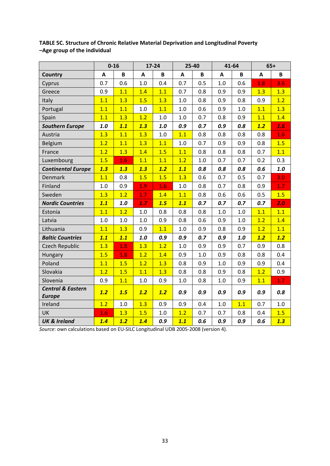|                              |     | $0 - 16$     |         | $17 - 24$ |         | 25-40        |         | 41-64   |     | $65+$       |
|------------------------------|-----|--------------|---------|-----------|---------|--------------|---------|---------|-----|-------------|
| <b>Country</b>               | A   | $\, {\bf B}$ | A       | B         | A       | $\, {\bf B}$ | A       | B       | A   | $\mathbf B$ |
| Cyprus                       | 0.7 | 0.6          | 1.0     | 0.4       | 0.7     | 0.5          | 1.0     | 0.6     | 1.8 | 3.6         |
| Greece                       | 0.9 | 1.1          | 1.4     | 1.1       | 0.7     | 0.8          | 0.9     | 0.9     | 1.3 | 1.3         |
| Italy                        | 1.1 | 1.3          | 1.5     | 1.3       | 1.0     | 0.8          | 0.9     | 0.8     | 0.9 | 1.2         |
| Portugal                     | 1.1 | 1.1          | $1.0\,$ | 1.1       | 1.0     | 0.6          | 0.9     | $1.0\,$ | 1.1 | 1.3         |
| Spain                        | 1.1 | 1.3          | 1.2     | 1.0       | $1.0\,$ | 0.7          | 0.8     | 0.9     | 1.1 | 1.4         |
| <b>Southern Europe</b>       | 1.0 | 1.1          | 1.3     | 1.0       | 0.9     | 0.7          | 0.9     | 0.8     | 1.2 | 1.6         |
| Austria                      | 1.3 | 1.1          | 1.3     | 1.0       | 1.1     | 0.8          | 0.8     | 0.8     | 0.8 | 1.6         |
| Belgium                      | 1.2 | 1.1          | 1.3     | 1.1       | $1.0\,$ | 0.7          | 0.9     | 0.9     | 0.8 | 1.5         |
| France                       | 1.2 | 1.3          | 1.4     | 1.5       | 1.1     | 0.8          | 0.8     | 0.8     | 0.7 | 1.1         |
| Luxembourg                   | 1.5 | 1.6          | 1.1     | 1.1       | 1.2     | 1.0          | 0.7     | 0.7     | 0.2 | 0.3         |
| <b>Continental Europe</b>    | 1.3 | 1.3          | 1.3     | 1.2       | 1.1     | 0.8          | 0.8     | 0.8     | 0.6 | $1.0$       |
| <b>Denmark</b>               | 1.1 | 0.8          | 1.5     | 1.5       | 1.3     | 0.6          | 0.7     | 0.5     | 0.7 | 3.0         |
| Finland                      | 1.0 | 0.9          | 1.9     | 1.6       | 1.0     | 0.8          | 0.7     | 0.8     | 0.9 | 1.7         |
| Sweden                       | 1.3 | 1.2          | 1.7     | 1.4       | 1.1     | 0.8          | 0.6     | 0.6     | 0.5 | 1.5         |
| <b>Nordic Countries</b>      | 1.1 | $1.0$        | 1.7     | 1.5       | 1.1     | 0.7          | 0.7     | 0.7     | 0.7 | 2.0         |
| Estonia                      | 1.1 | 1.2          | $1.0\,$ | 0.8       | 0.8     | 0.8          | $1.0\,$ | $1.0\,$ | 1.1 | 1.1         |
| Latvia                       | 1.0 | 1.0          | 1.0     | 0.9       | 0.8     | 0.6          | 0.9     | 1.0     | 1.2 | 1.4         |
| Lithuania                    | 1.1 | 1.3          | 0.9     | 1.1       | 1.0     | 0.9          | 0.8     | 0.9     | 1.2 | 1.1         |
| <b>Baltic Countries</b>      | 1.1 | 1.1          | $1.0$   | 0.9       | 0.9     | 0.7          | 0.9     | 1.0     | 1.2 | 1.2         |
| <b>Czech Republic</b>        | 1.3 | 1.8          | 1.3     | 1.2       | 1.0     | 0.9          | 0.9     | 0.7     | 0.9 | 0.8         |
| Hungary                      | 1.5 | 1.8          | 1.2     | 1.4       | 0.9     | 1.0          | 0.9     | 0.8     | 0.8 | 0.4         |
| Poland                       | 1.1 | 1.5          | 1.2     | 1.3       | 0.8     | 0.9          | 1.0     | 0.9     | 0.9 | 0.4         |
| Slovakia                     | 1.2 | 1.5          | 1.1     | 1.3       | 0.8     | 0.8          | 0.9     | 0.8     | 1.2 | 0.9         |
| Slovenia                     | 0.9 | 1.1          | 1.0     | 0.9       | 1.0     | 0.8          | 1.0     | 0.9     | 1.1 | 1.7         |
| <b>Central &amp; Eastern</b> | 1.2 | 1.5          | 1.2     | 1.2       | 0.9     | 0.9          | 0.9     | 0.9     | 0.9 | 0.8         |
| <b>Europe</b>                |     |              |         |           |         |              |         |         |     |             |
| Ireland                      | 1.2 | 1.0          | 1.3     | 0.9       | 0.9     | 0.4          | 1.0     | 1.1     | 0.7 | 1.0         |
| UK                           | 1.6 | 1.3          | 1.5     | 1.0       | 1.2     | 0.7          | 0.7     | 0.8     | 0.4 | 1.5         |
| <b>UK &amp; Ireland</b>      | 1.4 | 1.2          | 1.4     | 0.9       | 1.1     | 0.6          | 0.9     | 0.9     | 0.6 | 1.3         |

**TABLE 5C. Structure of Chronic Relative Material Deprivation and Longitudinal Poverty –Age group of the individual**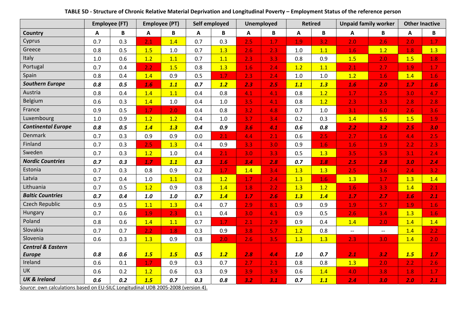| <b>Employee (FT)</b>         |     | <b>Employee (PT)</b> |         | Self employed |     | <b>Unemployed</b> |     | <b>Retired</b> |       | <b>Unpaid family worker</b> |                          | <b>Other Inactive</b>    |     |     |
|------------------------------|-----|----------------------|---------|---------------|-----|-------------------|-----|----------------|-------|-----------------------------|--------------------------|--------------------------|-----|-----|
| <b>Country</b>               | A   | B                    | A       | B             | A   | В                 | A   | B              | A     | B                           | A                        | B                        | A   | B   |
| Cyprus                       | 0.7 | 0.3                  | 2.1     | 1.4           | 0.7 | 0.3               | 2.5 | 1.7            | 1.9   | 3.2                         | 2.0                      | 2.6                      | 2.0 | 1.7 |
| Greece                       | 0.8 | 0.5                  | 1.5     | 1.0           | 0.7 | 1.3               | 2.6 | 2.3            | 1.0   | 1.1                         | 1.6                      | 1.2                      | 1.8 | 1.3 |
| Italy                        | 1.0 | 0.6                  | 1.2     | 1.1           | 0.7 | 1.1               | 2.3 | 3.3            | 0.8   | 0.9                         | 1.5                      | 2.0                      | 1.5 | 1.8 |
| Portugal                     | 0.7 | 0.4                  | 2.2     | 1.5           | 0.8 | 1.3               | 1.6 | 2.4            | 1.2   | 1.1                         | 2.1                      | 2.7                      | 1.9 | 1.7 |
| Spain                        | 0.8 | 0.4                  | 1.4     | 0.9           | 0.5 | 1.7               | 2.3 | 2.4            | 1.0   | 1.0                         | 1.2                      | 1.6                      | 1.4 | 1.6 |
| <b>Southern Europe</b>       | 0.8 | 0.5                  | 1.6     | 1.1           | 0.7 | 1.2               | 2.3 | 2.5            | 1.1   | 1.3                         | 1.6                      | 2.0                      | 1.7 | 1.6 |
| Austria                      | 0.8 | 0.4                  | 1.4     | 1.1           | 0.4 | 0.8               | 4.1 | 4.1            | 0.8   | 1.2                         | 1.7                      | 2.5                      | 3.0 | 4.7 |
| Belgium                      | 0.6 | 0.3                  | 1.4     | 1.0           | 0.4 | $1.0\,$           | 3.5 | 4.1            | 0.8   | 1.2                         | 2.3                      | 3.3 <sub>1</sub>         | 2.8 | 2.8 |
| France                       | 0.9 | 0.5                  | 1.7     | 2.0           | 0.4 | 0.8               | 3.2 | 4.8            | 0.7   | $1.0$                       | 3.1                      | 6.0                      | 2.6 | 3.6 |
| Luxembourg                   | 1.0 | 0.9                  | 1.2     | 1.2           | 0.4 | 1.0               | 3.7 | 3.4            | 0.2   | 0.3                         | 1.4                      | 1.5                      | 1.5 | 1.9 |
| <b>Continental Europe</b>    | 0.8 | 0.5                  | 1.4     | 1.3           | 0.4 | 0.9               | 3.6 | 4.1            | 0.6   | 0.8                         | 2.2                      | 3.2                      | 2.5 | 3.0 |
| Denmark                      | 0.7 | 0.3                  | 0.9     | 0.9           | 0.0 | 2.1               | 4.4 | 2.1            | 0.6   | 2.5                         | 2.7                      | 1.6                      | 4.4 | 2.5 |
| Finland                      | 0.7 | 0.3                  | 2.5     | 1.3           | 0.4 | 0.9               | 3.3 | 3.0            | 0.9   | 1.6                         | 1.6                      | 1.9                      | 2.2 | 2.3 |
| Sweden                       | 0.7 | 0.3                  | 1.2     | 1.0           | 0.4 | 2.1               | 3.0 | 3.3            | 0.5   | 1.3                         | 3.5                      | 5.3                      | 3.1 | 2.4 |
| <b>Nordic Countries</b>      | 0.7 | 0.3                  | 1.7     | 1.1           | 0.3 | 1.6               | 3.4 | 2.8            | 0.7   | 1.8                         | 2.5                      | 2.8                      | 3.0 | 2.4 |
| Estonia                      | 0.7 | 0.3                  | 0.8     | 0.9           | 0.2 | 1.7               | 1.4 | 3.4            | 1.3   | 1.3                         | 2.5                      | 3.6                      | 2.4 | 3.2 |
| Latvia                       | 0.7 | 0.4                  | $1.0\,$ | 1.1           | 0.8 | 1.2               | 1.7 | 2.4            | 1.3   | 1.6                         | 1.3                      | 1.7                      | 1.3 | 1.4 |
| Lithuania                    | 0.7 | 0.5                  | 1.2     | 0.9           | 0.8 | 1.4               | 1.8 | 2.2            | 1.3   | 1.2                         | 1.6                      | 3.3                      | 1.4 | 2.1 |
| <b>Baltic Countries</b>      | 0.7 | 0.4                  | 1.0     | 1.0           | 0.7 | 1.4               | 1.7 | 2.6            | 1.3   | 1.4                         | 1.7                      | 2.7                      | 1.6 | 2.1 |
| Czech Republic               | 0.9 | 0.5                  | 1.1     | 1.3           | 0.4 | 0.7               | 2.9 | 8.1            | 0.9   | 0.9                         | 1.9                      | 5.7                      | 1.9 | 1.6 |
| Hungary                      | 0.7 | 0.6                  | 1.9     | 2.3           | 0.1 | 0.4               | 3.0 | 4.1            | 0.9   | 0.5                         | 2.6                      | 3.4                      | 1.3 | 1.6 |
| Poland                       | 0.8 | 0.6                  | 1.4     | 1.1           | 0.7 | 1.7               | 2.1 | 2.9            | 0.9   | 0.4                         | 1.4                      | 2.0                      | 1.4 | 1.4 |
| Slovakia                     | 0.7 | 0.7                  | 2.2     | 1.8           | 0.3 | 0.9               | 3.8 | 5.7            | 1.2   | 0.8                         | $\overline{\phantom{m}}$ | $\overline{\phantom{m}}$ | 1.4 | 2.2 |
| Slovenia                     | 0.6 | 0.3                  | 1.3     | 0.9           | 0.8 | 2.0               | 2.6 | 3.5            | 1.3   | 1.3                         | 2.3                      | 3.0                      | 1.4 | 2.0 |
| <b>Central &amp; Eastern</b> |     |                      |         |               |     |                   |     |                |       |                             |                          |                          |     |     |
| <b>Europe</b>                | 0.8 | 0.6                  | 1.5     | 1.5           | 0.5 | 1.2               | 2.8 | 4.4            | $1.0$ | 0.7                         | 2.1                      | 3.2                      | 1.5 | 1.7 |
| Ireland                      | 0.6 | 0.1                  | 1.7     | 0.9           | 0.3 | 0.7               | 2.7 | 2.1            | 0.8   | 0.8                         | 1.3                      | 2.0                      | 2.2 | 2.6 |
| <b>UK</b>                    | 0.6 | 0.2                  | 1.2     | 0.6           | 0.3 | 0.9               | 3.9 | 3.9            | 0.6   | 1.4                         | 4.0                      | 3.8                      | 1.8 | 1.7 |
| <b>UK &amp; Ireland</b>      | 0.6 | 0.2                  | 1.5     | 0.7           | 0.3 | 0.8               | 3.2 | 3.1            | 0.7   | 1.1                         | 2.4                      | 3.0                      | 2.0 | 2.1 |

TABLE 5D - Structure of Chronic Relative Material Deprivation and Longitudinal Poverty – Employment Status of the reference person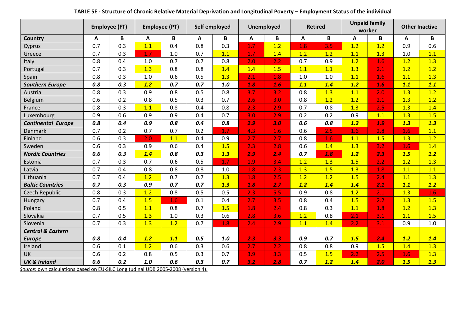|                              |     | <b>Employee (FT)</b> |       | <b>Employee (PT)</b> |     | Self employed | <b>Unemployed</b> |     | <b>Retired</b> |       | <b>Unpaid family</b><br>worker |          | <b>Other Inactive</b> |             |
|------------------------------|-----|----------------------|-------|----------------------|-----|---------------|-------------------|-----|----------------|-------|--------------------------------|----------|-----------------------|-------------|
| Country                      | A   | В                    | Α     | B                    | A   | B             | A                 | B   | A              | B     | A                              | $\pmb B$ | А                     | $\mathbf B$ |
| Cyprus                       | 0.7 | 0.3                  | 1.1   | 0.4                  | 0.8 | 0.3           | 1.7               | 1.2 | 1.8            | 3.5   | 1.2                            | 1.2      | 0.9                   | 0.6         |
| Greece                       | 0.7 | 0.3                  | 1.7   | 1.0                  | 0.7 | 1.1           | 1.7               | 1.4 | 1.2            | 1.2   | 1.1                            | 1.3      | $1.0$                 | 1.1         |
| Italy                        | 0.8 | 0.4                  | 1.0   | 0.7                  | 0.7 | 0.8           | 2.0               | 2.2 | 0.7            | 0.9   | 1.2                            | 1.6      | 1.2                   | 1.3         |
| Portugal                     | 0.7 | 0.3                  | 1.3   | 0.8                  | 0.8 | 1.4           | 1.4               | 1.5 | 1.1            | 1.1   | 1.3                            | 2.1      | 1.2                   | 1.2         |
| Spain                        | 0.8 | 0.3                  | 1.0   | 0.6                  | 0.5 | 1.3           | 2.1               | 1.8 | 1.0            | $1.0$ | 1.1                            | 1.6      | 1.1                   | 1.3         |
| <b>Southern Europe</b>       | 0.8 | 0.3                  | 1.2   | 0.7                  | 0.7 | 1.0           | 1.8               | 1.6 | 1.1            | 1.4   | 1.2                            | 1.6      | 1.1                   | 1.1         |
| Austria                      | 0.8 | 0.3                  | 0.9   | 0.8                  | 0.5 | 0.8           | 3.7               | 3.2 | 0.8            | 1.3   | 1.1                            | 2.0      | 1.3                   | 1.2         |
| Belgium                      | 0.6 | 0.2                  | 0.8   | 0.5                  | 0.3 | 0.7           | 2.6               | 3.0 | 0.8            | 1.2   | 1.2                            | 2.1      | 1.3                   | 1.2         |
| France                       | 0.8 | 0.3                  | 1.1   | 0.8                  | 0.4 | 0.8           | 2.3               | 2.9 | 0.7            | 0.8   | 1.3                            | 2.5      | 1.3                   | 1.4         |
| Luxembourg                   | 0.9 | 0.6                  | 0.9   | 0.9                  | 0.4 | 0.7           | 3.0               | 2.9 | 0.2            | 0.2   | 0.9                            | 1.1      | 1.3                   | 1.5         |
| <b>Continental Europe</b>    | 0.8 | 0.4                  | 0.9   | 0.8                  | 0.4 | 0.8           | 2.9               | 3.0 | 0.6            | 0.8   | 1.2                            | 1.9      | 1.3                   | 1.3         |
| <b>Denmark</b>               | 0.7 | 0.2                  | 0.7   | 0.7                  | 0.2 | 1.7           | 4.3               | 1.6 | 0.6            | 2.5   | 1.6                            | 2.8      | 1.6                   | 1.1         |
| Finland                      | 0.6 | 0.3                  | 2.0   | 1.1                  | 0.4 | 0.9           | 2.7               | 2.7 | 0.8            | 1.6   | 1.1                            | 1.5      | 1.3                   | 1.2         |
| Sweden                       | 0.6 | 0.3                  | 0.9   | 0.6                  | 0.4 | 1.5           | 2.3               | 2.8 | 0.6            | 1.4   | 1.3                            | 3.2      | 1.6                   | 1.4         |
| <b>Nordic Countries</b>      | 0.6 | 0.3                  | 1.4   | 0.8                  | 0.3 | 1.3           | 2.9               | 2.4 | 0.7            | 1.8   | 1.2                            | 2.3      | 1.5                   | 1.2         |
| Estonia                      | 0.7 | 0.3                  | 0.7   | 0.6                  | 0.5 | 1.7           | 1.9               | 3.4 | 1.2            | 1.3   | 1.5                            | 2.2      | 1.2                   | 1.3         |
| Latvia                       | 0.7 | 0.4                  | 0.8   | 0.8                  | 0.8 | 1.0           | 1.8               | 2.3 | 1.3            | 1.5   | 1.3                            | 1.8      | 1.1                   | 1.1         |
| Lithuania                    | 0.7 | 0.4                  | 1.2   | 0.7                  | 0.7 | 1.3           | 1.8               | 2.5 | 1.2            | 1.2   | 1.5                            | 2.4      | 1.1                   | 1.3         |
| <b>Baltic Countries</b>      | 0.7 | 0.3                  | 0.9   | 0.7                  | 0.7 | 1.3           | 1.8               | 2.7 | 1.2            | 1.4   | 1.4                            | 2.1      | 1.1                   | 1.2         |
| <b>Czech Republic</b>        | 0.8 | 0.3                  | 1.2   | 0.8                  | 0.5 | 0.5           | 2.3               | 5.5 | 0.9            | 0.8   | 1.2                            | 2.1      | 1.3                   | 1.6         |
| Hungary                      | 0.7 | 0.4                  | 1.5   | 1.6                  | 0.1 | 0.4           | 2.7               | 3.5 | 0.8            | 0.4   | 1.5                            | 2.2      | 1.3                   | 1.5         |
| Poland                       | 0.8 | 0.5                  | 1.1   | 0.8                  | 0.7 | 1.5           | 1.8               | 2.4 | 0.8            | 0.3   | 1.1                            | 1.8      | 1.2                   | 1.3         |
| Slovakia                     | 0.7 | 0.5                  | 1.3   | 1.0                  | 0.3 | 0.6           | 2.8               | 3.6 | 1.2            | 0.8   | 2.1                            | 3.1      | 1.1                   | 1.5         |
| Slovenia                     | 0.7 | 0.3                  | 1.3   | 1.2                  | 0.7 | 1.8           | 2.4               | 2.9 | 1.1            | 1.4   | 2.2                            | 3.1      | 0.9                   | 1.0         |
| <b>Central &amp; Eastern</b> |     |                      |       |                      |     |               |                   |     |                |       |                                |          |                       |             |
| <b>Europe</b>                | 0.8 | 0.4                  | 1.2   | 1.1                  | 0.5 | 1.0           | 2.3               | 3.3 | 0.9            | 0.7   | 1.5                            | 2.4      | 1.2                   | 1.4         |
| Ireland                      | 0.6 | 0.1                  | 1.2   | 0.6                  | 0.3 | 0.6           | 2.7               | 2.2 | 0.8            | 0.8   | 0.9                            | 1.5      | 1.4                   | 1.3         |
| UK                           | 0.6 | 0.2                  | 0.8   | 0.5                  | 0.3 | 0.7           | 3.9               | 3.3 | 0.5            | 1.5   | 2.2                            | 2.5      | 1.6                   | 1.3         |
| <b>UK &amp; Ireland</b>      | 0.6 | 0.2                  | $1.0$ | 0.6                  | 0.3 | 0.7           | 3.2               | 2.8 | 0.7            | 1.2   | 1.4                            | 2.0      | 1.5                   | 1.3         |

TABLE 5E - Structure of Chronic Relative Material Deprivation and Longitudinal Poverty – Employment Status of the individual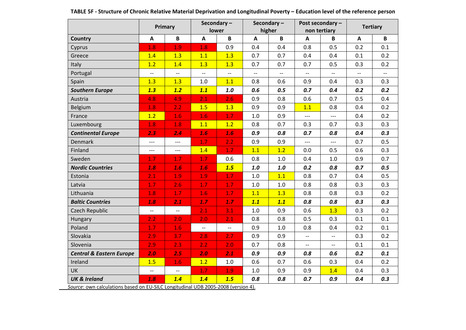|                                     | Primary                  |                          | Secondary-<br>lower      |                          | Secondary-<br>higher     |                          | Post secondary -<br>non tertiary |                          | <b>Tertiary</b> |                          |
|-------------------------------------|--------------------------|--------------------------|--------------------------|--------------------------|--------------------------|--------------------------|----------------------------------|--------------------------|-----------------|--------------------------|
| Country                             | A                        | $\, {\bf B}$             | $\mathbf{A}$             | $\mathbf{B}$             | $\mathbf{A}$             | $\mathbf B$              | $\mathbf{A}$                     | B                        | A               | B                        |
| Cyprus                              | 1.8                      | 1.9                      | 1.8                      | 0.9                      | 0.4                      | 0.4                      | 0.8                              | 0.5                      | 0.2             | 0.1                      |
| Greece                              | 1.4                      | 1.3                      | 1.1                      | 1.3                      | 0.7                      | 0.7                      | 0.4                              | 0.4                      | 0.1             | 0.2                      |
| Italy                               | 1.2                      | 1.4                      | 1.3                      | 1.3                      | 0.7                      | 0.7                      | 0.7                              | 0.5                      | 0.3             | 0.2                      |
| Portugal                            | $\overline{\phantom{a}}$ | $\overline{\phantom{m}}$ | $\overline{\phantom{m}}$ | $\overline{\phantom{a}}$ | $\overline{\phantom{a}}$ | $\overline{\phantom{m}}$ | $\overline{\phantom{a}}$         | $\overline{\phantom{a}}$ | $-$             | $\overline{\phantom{a}}$ |
| Spain                               | 1.3                      | 1.3                      | 1.0                      | 1.1                      | 0.8                      | 0.6                      | 0.9                              | 0.4                      | 0.3             | 0.3                      |
| <b>Southern Europe</b>              | 1.3                      | 1.2                      | 1.1                      | 1.0                      | 0.6                      | 0.5                      | 0.7                              | 0.4                      | 0.2             | 0.2                      |
| Austria                             | 4.8                      | 4.9                      | 2.1                      | 2.6                      | 0.9                      | 0.8                      | 0.6                              | 0.7                      | 0.5             | 0.4                      |
| Belgium                             | 1.8                      | 2.2                      | 1.5                      | 1.3                      | 0.9                      | 0.9                      | 1.1                              | 0.8                      | 0.4             | 0.2                      |
| France                              | 1.2                      | 1.6                      | 1.6                      | 1.7                      | 1.0                      | 0.9                      | $---$                            | $---$                    | 0.4             | 0.2                      |
| Luxembourg                          | 1.8                      | 1.8                      | 1.1                      | 1.2                      | 0.8                      | 0.7                      | 0.3                              | 0.7                      | 0.3             | 0.3                      |
| <b>Continental Europe</b>           | 2.3                      | 2.4                      | 1.6                      | 1.6                      | 0.9                      | 0.8                      | 0.7                              | 0.8                      | 0.4             | 0.3                      |
| Denmark                             | ---                      | $---$                    | 1.7                      | 2.2                      | 0.9                      | 0.9                      | $---$                            | $---$                    | 0.7             | 0.5                      |
| Finland                             | ---                      | $---$                    | 1.4                      | 1.7                      | 1.1                      | 1.2                      | 0.0                              | 0.5                      | 0.6             | 0.3                      |
| Sweden                              | 1.7                      | 1.7                      | 1.7                      | 0.6                      | 0.8                      | 1.0                      | 0.4                              | 1.0                      | 0.9             | 0.7                      |
| <b>Nordic Countries</b>             | 1.8                      | 1.6                      | 1.6                      | 1.5                      | 1.0                      | 1.0                      | 0.2                              | 0.8                      | 0.7             | 0.5                      |
| Estonia                             | 2.1                      | 1.9                      | 1.9                      | 1.7                      | 1.0                      | 1.1                      | 0.8                              | 0.7                      | 0.4             | 0.5                      |
| Latvia                              | 1.7                      | 2.6                      | 1.7                      | 1.7                      | 1.0                      | 1.0                      | 0.8                              | 0.8                      | 0.3             | 0.3                      |
| Lithuania                           | 1.8                      | 1.7                      | 1.6                      | 1.7                      | 1.1                      | 1.3                      | 0.8                              | 0.8                      | 0.3             | 0.2                      |
| <b>Baltic Countries</b>             | 1.8                      | 2.1                      | 1.7                      | 1.7                      | 1.1                      | 1.1                      | 0.8                              | 0.8                      | 0.3             | 0.3                      |
| <b>Czech Republic</b>               | $\overline{\phantom{a}}$ | $\overline{\phantom{a}}$ | 2.1                      | 3.1                      | $1.0$                    | 0.9                      | 0.6                              | 1.3                      | 0.3             | 0.2                      |
| Hungary                             | 2.2                      | 2.0                      | 2.0                      | 2.1                      | 0.8                      | 0.8                      | 0.5                              | 0.3                      | 0.1             | 0.1                      |
| Poland                              | 1.7                      | 1.6                      | $\overline{\phantom{0}}$ | $\overline{\phantom{m}}$ | 0.9                      | 1.0                      | 0.8                              | 0.4                      | 0.2             | 0.1                      |
| Slovakia                            | 2.9                      | 3.7                      | 2.8                      | 2.7                      | 0.9                      | 0.9                      | $\overline{\phantom{a}}$         | $-$                      | 0.3             | 0.2                      |
| Slovenia                            | 2.9                      | 2.3                      | 2.2                      | 2.0                      | 0.7                      | 0.8                      | $\overline{\phantom{a}}$         | $\overline{\phantom{m}}$ | 0.1             | 0.1                      |
| <b>Central &amp; Eastern Europe</b> | 2.0                      | 2.5                      | 2.0                      | 2.1                      | 0.9                      | 0.9                      | 0.8                              | 0.6                      | 0.2             | 0.1                      |
| Ireland                             | 1.5                      | 1.6                      | 1.2                      | $1.0\,$                  | 0.6                      | 0.7                      | 0.6                              | 0.3                      | 0.4             | 0.2                      |
| UK                                  | $\overline{\phantom{0}}$ | $\overline{\phantom{m}}$ | 1.7                      | 1.9                      | 1.0                      | 0.9                      | 0.9                              | 1.4                      | 0.4             | 0.3                      |
| <b>UK &amp; Ireland</b>             | 1.8                      | 1.4                      | 1.4                      | 1.5                      | 0.8                      | 0.8                      | 0.7                              | 0.9                      | 0.4             | 0.3                      |

| TABLE 5F - Structure of Chronic Relative Material Deprivation and Longitudinal Poverty – Education level of the reference person |  |
|----------------------------------------------------------------------------------------------------------------------------------|--|
|                                                                                                                                  |  |